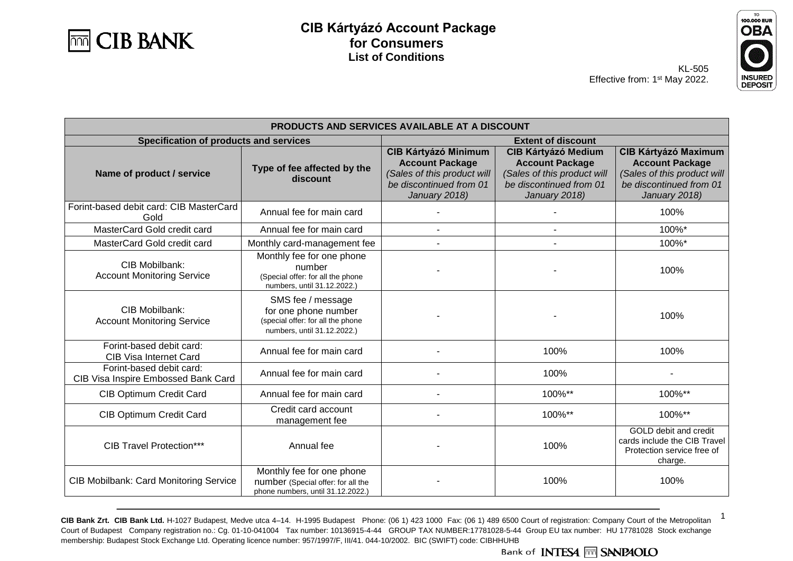



1

KL-505 Effective from: 1<sup>st</sup> May 2022.

| PRODUCTS AND SERVICES AVAILABLE AT A DISCOUNT                   |                                                                                                               |                                                                                                                                  |                                                                                                                                 |                                                                                                                                  |
|-----------------------------------------------------------------|---------------------------------------------------------------------------------------------------------------|----------------------------------------------------------------------------------------------------------------------------------|---------------------------------------------------------------------------------------------------------------------------------|----------------------------------------------------------------------------------------------------------------------------------|
| Specification of products and services                          |                                                                                                               | <b>Extent of discount</b>                                                                                                        |                                                                                                                                 |                                                                                                                                  |
| Name of product / service                                       | Type of fee affected by the<br>discount                                                                       | <b>CIB Kártyázó Minimum</b><br><b>Account Package</b><br>(Sales of this product will<br>be discontinued from 01<br>January 2018) | <b>CIB Kártyázó Medium</b><br><b>Account Package</b><br>(Sales of this product will<br>be discontinued from 01<br>January 2018) | <b>CIB Kártyázó Maximum</b><br><b>Account Package</b><br>(Sales of this product will<br>be discontinued from 01<br>January 2018) |
| Forint-based debit card: CIB MasterCard<br>Gold                 | Annual fee for main card                                                                                      |                                                                                                                                  |                                                                                                                                 | 100%                                                                                                                             |
| MasterCard Gold credit card                                     | Annual fee for main card                                                                                      |                                                                                                                                  |                                                                                                                                 | 100%*                                                                                                                            |
| MasterCard Gold credit card                                     | Monthly card-management fee                                                                                   |                                                                                                                                  |                                                                                                                                 | 100%*                                                                                                                            |
| CIB Mobilbank:<br><b>Account Monitoring Service</b>             | Monthly fee for one phone<br>number<br>(Special offer: for all the phone<br>numbers, until 31.12.2022.)       |                                                                                                                                  |                                                                                                                                 | 100%                                                                                                                             |
| CIB Mobilbank:<br><b>Account Monitoring Service</b>             | SMS fee / message<br>for one phone number<br>(special offer: for all the phone<br>numbers, until 31.12.2022.) |                                                                                                                                  |                                                                                                                                 | 100%                                                                                                                             |
| Forint-based debit card:<br><b>CIB Visa Internet Card</b>       | Annual fee for main card                                                                                      |                                                                                                                                  | 100%                                                                                                                            | 100%                                                                                                                             |
| Forint-based debit card:<br>CIB Visa Inspire Embossed Bank Card | Annual fee for main card                                                                                      |                                                                                                                                  | 100%                                                                                                                            |                                                                                                                                  |
| <b>CIB Optimum Credit Card</b>                                  | Annual fee for main card                                                                                      |                                                                                                                                  | 100%**                                                                                                                          | 100%**                                                                                                                           |
| <b>CIB Optimum Credit Card</b>                                  | Credit card account<br>management fee                                                                         |                                                                                                                                  | 100%**                                                                                                                          | 100%**                                                                                                                           |
| <b>CIB Travel Protection***</b>                                 | Annual fee                                                                                                    |                                                                                                                                  | 100%                                                                                                                            | GOLD debit and credit<br>cards include the CIB Travel<br>Protection service free of<br>charge.                                   |
| <b>CIB Mobilbank: Card Monitoring Service</b>                   | Monthly fee for one phone<br>number (Special offer: for all the<br>phone numbers, until 31.12.2022.)          |                                                                                                                                  | 100%                                                                                                                            | 100%                                                                                                                             |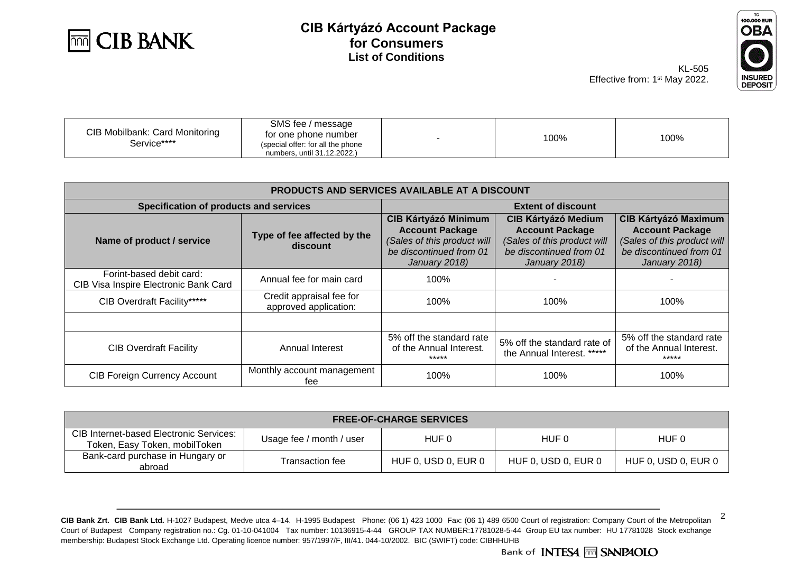



KL-505 Effective from: 1<sup>st</sup> May 2022.

| <b>CIB Mobilbank: Card Monitoring</b><br>Service**** | SMS fee / message<br>for one phone number<br>(special offer: for all the phone<br>numbers. until 31.12.2022.) |  | 100% | 100% |
|------------------------------------------------------|---------------------------------------------------------------------------------------------------------------|--|------|------|
|------------------------------------------------------|---------------------------------------------------------------------------------------------------------------|--|------|------|

| PRODUCTS AND SERVICES AVAILABLE AT A DISCOUNT                     |                                                   |                                                                                                                                  |                                                                                                                                 |                                                                                                                                  |
|-------------------------------------------------------------------|---------------------------------------------------|----------------------------------------------------------------------------------------------------------------------------------|---------------------------------------------------------------------------------------------------------------------------------|----------------------------------------------------------------------------------------------------------------------------------|
| Specification of products and services                            |                                                   |                                                                                                                                  | <b>Extent of discount</b>                                                                                                       |                                                                                                                                  |
| Name of product / service                                         | Type of fee affected by the<br>discount           | <b>CIB Kártyázó Minimum</b><br><b>Account Package</b><br>(Sales of this product will<br>be discontinued from 01<br>January 2018) | <b>CIB Kártyázó Medium</b><br><b>Account Package</b><br>(Sales of this product will<br>be discontinued from 01<br>January 2018) | <b>CIB Kártyázó Maximum</b><br><b>Account Package</b><br>(Sales of this product will<br>be discontinued from 01<br>January 2018) |
| Forint-based debit card:<br>CIB Visa Inspire Electronic Bank Card | Annual fee for main card                          | 100%                                                                                                                             |                                                                                                                                 |                                                                                                                                  |
| CIB Overdraft Facility*****                                       | Credit appraisal fee for<br>approved application: | 100%                                                                                                                             | 100%                                                                                                                            | 100%                                                                                                                             |
|                                                                   |                                                   |                                                                                                                                  |                                                                                                                                 |                                                                                                                                  |
| <b>CIB Overdraft Facility</b>                                     | Annual Interest                                   | 5% off the standard rate<br>of the Annual Interest.<br>*****                                                                     | 5% off the standard rate of<br>the Annual Interest. *****                                                                       | 5% off the standard rate<br>of the Annual Interest.<br>*****                                                                     |
| <b>CIB Foreign Currency Account</b>                               | Monthly account management<br>tee                 | 100%                                                                                                                             | 100%                                                                                                                            | 100%                                                                                                                             |

|                                                                          |                          | <b>FREE-OF-CHARGE SERVICES</b> |                     |                     |
|--------------------------------------------------------------------------|--------------------------|--------------------------------|---------------------|---------------------|
| CIB Internet-based Electronic Services:<br>Token, Easy Token, mobilToken | Usage fee / month / user | HUF 0                          | HUF 0               | HUF 0               |
| Bank-card purchase in Hungary or<br>abroad                               | Transaction fee          | HUF 0, USD 0, EUR 0            | HUF 0, USD 0, EUR 0 | HUF 0, USD 0, EUR 0 |

**CIB Bank Zrt. CIB Bank Ltd.** H-1027 Budapest, Medve utca 4–14. H-1995 Budapest Phone: (06 1) 423 1000 Fax: (06 1) 489 6500 Court of registration: Company Court of the Metropolitan Court of Budapest Company registration no.: Cg. 01-10-041004 Tax number: 10136915-4-44 GROUP TAX NUMBER:17781028-5-44 Group EU tax number: HU 17781028 Stock exchange membership: Budapest Stock Exchange Ltd. Operating licence number: 957/1997/F, III/41. 044-10/2002. BIC (SWIFT) code: CIBHHUHB

2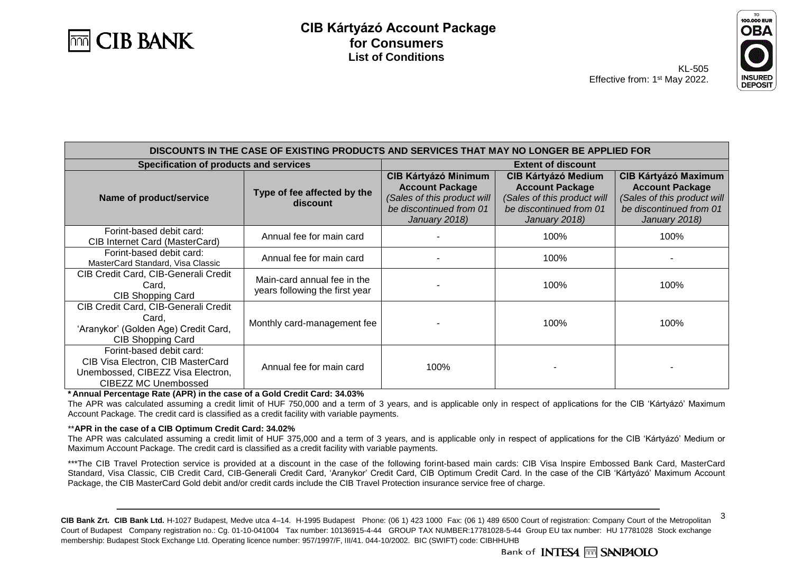



3

KL-505 Effective from: 1<sup>st</sup> May 2022.

| DISCOUNTS IN THE CASE OF EXISTING PRODUCTS AND SERVICES THAT MAY NO LONGER BE APPLIED FOR                                         |                                                               |                                                                                                                                  |                                                                                                                                 |                                                                                                                                  |
|-----------------------------------------------------------------------------------------------------------------------------------|---------------------------------------------------------------|----------------------------------------------------------------------------------------------------------------------------------|---------------------------------------------------------------------------------------------------------------------------------|----------------------------------------------------------------------------------------------------------------------------------|
| Specification of products and services                                                                                            |                                                               | <b>Extent of discount</b>                                                                                                        |                                                                                                                                 |                                                                                                                                  |
| Name of product/service                                                                                                           | Type of fee affected by the<br>discount                       | <b>CIB Kártyázó Minimum</b><br><b>Account Package</b><br>(Sales of this product will<br>be discontinued from 01<br>January 2018) | <b>CIB Kártyázó Medium</b><br><b>Account Package</b><br>(Sales of this product will<br>be discontinued from 01<br>January 2018) | <b>CIB Kártyázó Maximum</b><br><b>Account Package</b><br>(Sales of this product will<br>be discontinued from 01<br>January 2018) |
| Forint-based debit card:<br>CIB Internet Card (MasterCard)                                                                        | Annual fee for main card                                      |                                                                                                                                  | 100%                                                                                                                            | 100%                                                                                                                             |
| Forint-based debit card:<br>MasterCard Standard, Visa Classic                                                                     | Annual fee for main card                                      |                                                                                                                                  | 100%                                                                                                                            |                                                                                                                                  |
| CIB Credit Card, CIB-Generali Credit<br>Card.<br>CIB Shopping Card                                                                | Main-card annual fee in the<br>years following the first year |                                                                                                                                  | 100%                                                                                                                            | 100%                                                                                                                             |
| CIB Credit Card, CIB-Generali Credit<br>Card,<br>'Aranykor' (Golden Age) Credit Card,<br><b>CIB Shopping Card</b>                 | Monthly card-management fee                                   |                                                                                                                                  | 100%                                                                                                                            | 100%                                                                                                                             |
| Forint-based debit card:<br>CIB Visa Electron, CIB MasterCard<br>Unembossed, CIBEZZ Visa Electron,<br><b>CIBEZZ MC Unembossed</b> | Annual fee for main card                                      | 100%                                                                                                                             |                                                                                                                                 |                                                                                                                                  |

**\* Annual Percentage Rate (APR) in the case of a Gold Credit Card: 34.03%**

The APR was calculated assuming a credit limit of HUF 750,000 and a term of 3 years, and is applicable only in respect of applications for the CIB 'Kártyázó' Maximum Account Package. The credit card is classified as a credit facility with variable payments.

#### \*\***APR in the case of a CIB Optimum Credit Card: 34.02%**

The APR was calculated assuming a credit limit of HUF 375,000 and a term of 3 years, and is applicable only in respect of applications for the CIB 'Kártyázó' Medium or Maximum Account Package. The credit card is classified as a credit facility with variable payments.

\*\*\*The CIB Travel Protection service is provided at a discount in the case of the following forint-based main cards: CIB Visa Inspire Embossed Bank Card, MasterCard Standard, Visa Classic, CIB Credit Card, CIB-Generali Credit Card, 'Aranykor' Credit Card, CIB Optimum Credit Card. In the case of the CIB 'Kártyázó' Maximum Account Package, the CIB MasterCard Gold debit and/or credit cards include the CIB Travel Protection insurance service free of charge.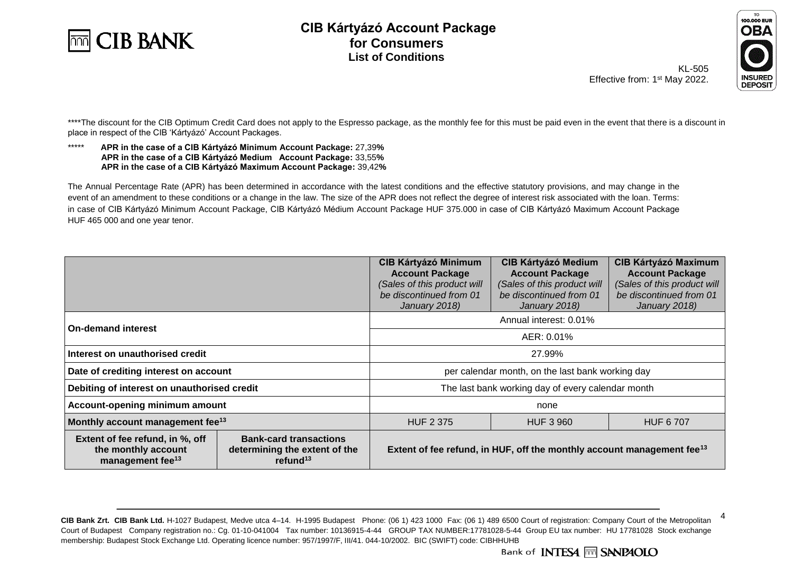



Effective from: 1<sup>st</sup> May 2022.

KL-505

4

**DEPOSIT** 

\*\*\*\*The discount for the CIB Optimum Credit Card does not apply to the Espresso package, as the monthly fee for this must be paid even in the event that there is a discount in place in respect of the CIB 'Kártyázó' Account Packages.

#### \*\*\*\*\* **APR in the case of a CIB Kártyázó Minimum Account Package:** 27,39**% APR in the case of a CIB Kártyázó Medium Account Package:** 33,55**% APR in the case of a CIB Kártyázó Maximum Account Package:** 39,42**%**

The Annual Percentage Rate (APR) has been determined in accordance with the latest conditions and the effective statutory provisions, and may change in the event of an amendment to these conditions or a change in the law. The size of the APR does not reflect the degree of interest risk associated with the loan. Terms: in case of CIB Kártyázó Minimum Account Package, CIB Kártyázó Médium Account Package HUF 375.000 in case of CIB Kártyázó Maximum Account Package HUF 465 000 and one year tenor.

|                                                                                        |                                                                               | <b>CIB Kártyázó Minimum</b><br><b>Account Package</b><br>(Sales of this product will<br>be discontinued from 01<br>January 2018) | <b>CIB Kártyázó Medium</b><br><b>Account Package</b><br>(Sales of this product will<br>be discontinued from 01<br>January 2018) | <b>CIB Kártyázó Maximum</b><br><b>Account Package</b><br>(Sales of this product will<br>be discontinued from 01<br>January 2018) |
|----------------------------------------------------------------------------------------|-------------------------------------------------------------------------------|----------------------------------------------------------------------------------------------------------------------------------|---------------------------------------------------------------------------------------------------------------------------------|----------------------------------------------------------------------------------------------------------------------------------|
| <b>On-demand interest</b>                                                              |                                                                               |                                                                                                                                  | Annual interest: 0.01%                                                                                                          |                                                                                                                                  |
|                                                                                        |                                                                               | AER: 0.01%                                                                                                                       |                                                                                                                                 |                                                                                                                                  |
| Interest on unauthorised credit                                                        |                                                                               | 27.99%                                                                                                                           |                                                                                                                                 |                                                                                                                                  |
| Date of crediting interest on account                                                  |                                                                               | per calendar month, on the last bank working day                                                                                 |                                                                                                                                 |                                                                                                                                  |
| Debiting of interest on unauthorised credit                                            |                                                                               | The last bank working day of every calendar month                                                                                |                                                                                                                                 |                                                                                                                                  |
| Account-opening minimum amount                                                         |                                                                               | none                                                                                                                             |                                                                                                                                 |                                                                                                                                  |
| Monthly account management fee <sup>13</sup>                                           |                                                                               | <b>HUF 2 375</b><br><b>HUF 3 960</b><br><b>HUF 6707</b>                                                                          |                                                                                                                                 |                                                                                                                                  |
| Extent of fee refund, in %, off<br>the monthly account<br>management fee <sup>13</sup> | <b>Bank-card transactions</b><br>determining the extent of the<br>refund $13$ | Extent of fee refund, in HUF, off the monthly account management fee <sup>13</sup>                                               |                                                                                                                                 |                                                                                                                                  |

**CIB Bank Zrt. CIB Bank Ltd.** H-1027 Budapest, Medve utca 4–14. H-1995 Budapest Phone: (06 1) 423 1000 Fax: (06 1) 489 6500 Court of registration: Company Court of the Metropolitan Court of Budapest Company registration no.: Cg. 01-10-041004 Tax number: 10136915-4-44 GROUP TAX NUMBER:17781028-5-44 Group EU tax number: HU 17781028 Stock exchange membership: Budapest Stock Exchange Ltd. Operating licence number: 957/1997/F, III/41. 044-10/2002. BIC (SWIFT) code: CIBHHUHB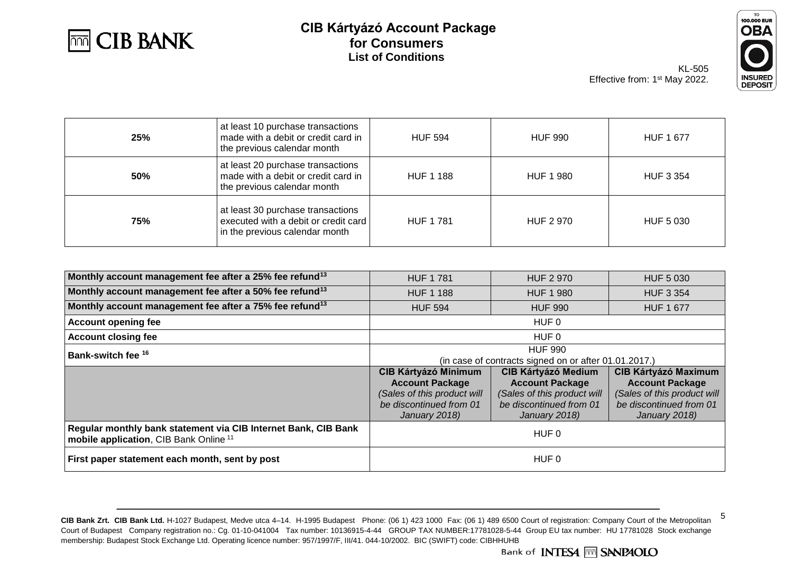



5

KL-505 Effective from: 1<sup>st</sup> May 2022.

| 25% | at least 10 purchase transactions<br>made with a debit or credit card in<br>the previous calendar month       | <b>HUF 594</b>   | <b>HUF 990</b>   | <b>HUF 1 677</b> |
|-----|---------------------------------------------------------------------------------------------------------------|------------------|------------------|------------------|
| 50% | at least 20 purchase transactions<br>made with a debit or credit card in<br>the previous calendar month       | <b>HUF 1 188</b> | <b>HUF 1 980</b> | HUF 3 354        |
| 75% | at least 30 purchase transactions<br>executed with a debit or credit card  <br>in the previous calendar month | HUF 1 781        | <b>HUF 2 970</b> | HUF 5 030        |

| Monthly account management fee after a 25% fee refund <sup>13</sup>                                                 | <b>HUF 1781</b>                                       | <b>HUF 2 970</b>            | <b>HUF 5 030</b>            |  |
|---------------------------------------------------------------------------------------------------------------------|-------------------------------------------------------|-----------------------------|-----------------------------|--|
| Monthly account management fee after a 50% fee refund <sup>13</sup>                                                 | <b>HUF 1 188</b>                                      | <b>HUF 1 980</b>            | <b>HUF 3 354</b>            |  |
| Monthly account management fee after a 75% fee refund <sup>13</sup>                                                 | <b>HUF 594</b>                                        | <b>HUF 990</b>              | <b>HUF 1 677</b>            |  |
| <b>Account opening fee</b>                                                                                          |                                                       | HUF 0                       |                             |  |
| <b>Account closing fee</b>                                                                                          | HUF 0                                                 |                             |                             |  |
| Bank-switch fee <sup>16</sup>                                                                                       |                                                       | <b>HUF 990</b>              |                             |  |
|                                                                                                                     | (in case of contracts signed on or after 01.01.2017.) |                             |                             |  |
|                                                                                                                     | <b>CIB Kártyázó Minimum</b>                           | <b>CIB Kártyázó Medium</b>  | <b>CIB Kártyázó Maximum</b> |  |
|                                                                                                                     | <b>Account Package</b>                                | <b>Account Package</b>      | <b>Account Package</b>      |  |
|                                                                                                                     | (Sales of this product will                           | (Sales of this product will | (Sales of this product will |  |
|                                                                                                                     | be discontinued from 01                               | be discontinued from 01     | be discontinued from 01     |  |
|                                                                                                                     | January 2018)                                         | January 2018)               | January 2018)               |  |
| Regular monthly bank statement via CIB Internet Bank, CIB Bank<br>mobile application, CIB Bank Online <sup>11</sup> | HUF 0                                                 |                             |                             |  |
| First paper statement each month, sent by post                                                                      | HUF 0                                                 |                             |                             |  |

**CIB Bank Zrt. CIB Bank Ltd.** H-1027 Budapest, Medve utca 4–14. H-1995 Budapest Phone: (06 1) 423 1000 Fax: (06 1) 489 6500 Court of registration: Company Court of the Metropolitan Court of Budapest Company registration no.: Cg. 01-10-041004 Tax number: 10136915-4-44 GROUP TAX NUMBER:17781028-5-44 Group EU tax number: HU 17781028 Stock exchange membership: Budapest Stock Exchange Ltd. Operating licence number: 957/1997/F, III/41. 044-10/2002. BIC (SWIFT) code: CIBHHUHB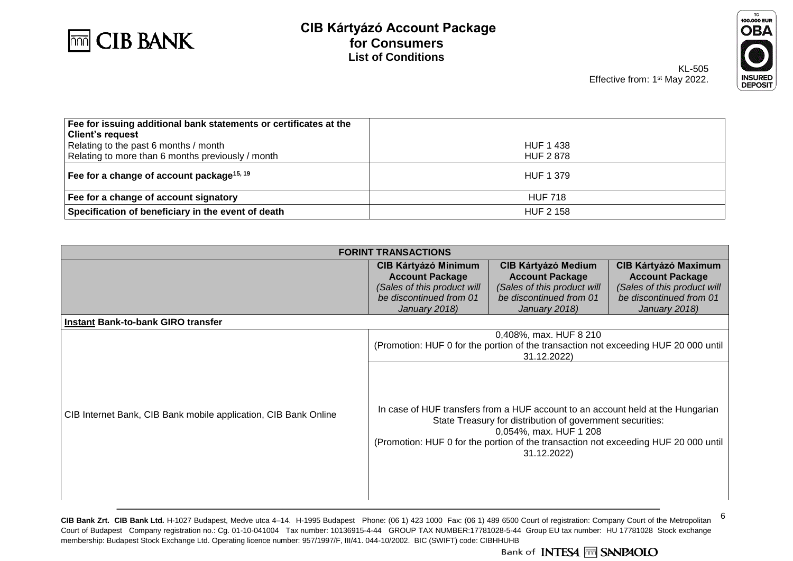



KL-505 Effective from: 1<sup>st</sup> May 2022.

| Fee for issuing additional bank statements or certificates at the<br><b>Client's request</b> |                  |
|----------------------------------------------------------------------------------------------|------------------|
| Relating to the past 6 months / month                                                        | <b>HUF 1 438</b> |
| Relating to more than 6 months previously / month                                            | <b>HUF 2878</b>  |
| Fee for a change of account package <sup>15, 19</sup>                                        | HUF 1 379        |
| Fee for a change of account signatory                                                        | <b>HUF 718</b>   |
| Specification of beneficiary in the event of death                                           | <b>HUF 2 158</b> |

|                                                                 | <b>FORINT TRANSACTIONS</b>                                                                                                       |                                                                                                                                                                                                                                                                              |                                                                                                                                  |
|-----------------------------------------------------------------|----------------------------------------------------------------------------------------------------------------------------------|------------------------------------------------------------------------------------------------------------------------------------------------------------------------------------------------------------------------------------------------------------------------------|----------------------------------------------------------------------------------------------------------------------------------|
|                                                                 | <b>CIB Kártyázó Minimum</b><br><b>Account Package</b><br>(Sales of this product will<br>be discontinued from 01<br>January 2018) | <b>CIB Kártyázó Medium</b><br><b>Account Package</b><br>(Sales of this product will<br>be discontinued from 01<br>January 2018)                                                                                                                                              | <b>CIB Kártyázó Maximum</b><br><b>Account Package</b><br>(Sales of this product will<br>be discontinued from 01<br>January 2018) |
| Instant Bank-to-bank GIRO transfer                              |                                                                                                                                  |                                                                                                                                                                                                                                                                              |                                                                                                                                  |
|                                                                 | 0,408%, max. HUF 8 210<br>(Promotion: HUF 0 for the portion of the transaction not exceeding HUF 20 000 until<br>31.12.2022)     |                                                                                                                                                                                                                                                                              |                                                                                                                                  |
| CIB Internet Bank, CIB Bank mobile application, CIB Bank Online |                                                                                                                                  | In case of HUF transfers from a HUF account to an account held at the Hungarian<br>State Treasury for distribution of government securities:<br>0,054%, max. HUF 1 208<br>(Promotion: HUF 0 for the portion of the transaction not exceeding HUF 20 000 until<br>31.12.2022) |                                                                                                                                  |

**CIB Bank Zrt. CIB Bank Ltd.** H-1027 Budapest, Medve utca 4–14. H-1995 Budapest Phone: (06 1) 423 1000 Fax: (06 1) 489 6500 Court of registration: Company Court of the Metropolitan Court of Budapest Company registration no.: Cg. 01-10-041004 Tax number: 10136915-4-44 GROUP TAX NUMBER:17781028-5-44 Group EU tax number: HU 17781028 Stock exchange membership: Budapest Stock Exchange Ltd. Operating licence number: 957/1997/F, III/41. 044-10/2002. BIC (SWIFT) code: CIBHHUHB<br>Bank of INTESA M SANPAOLO

6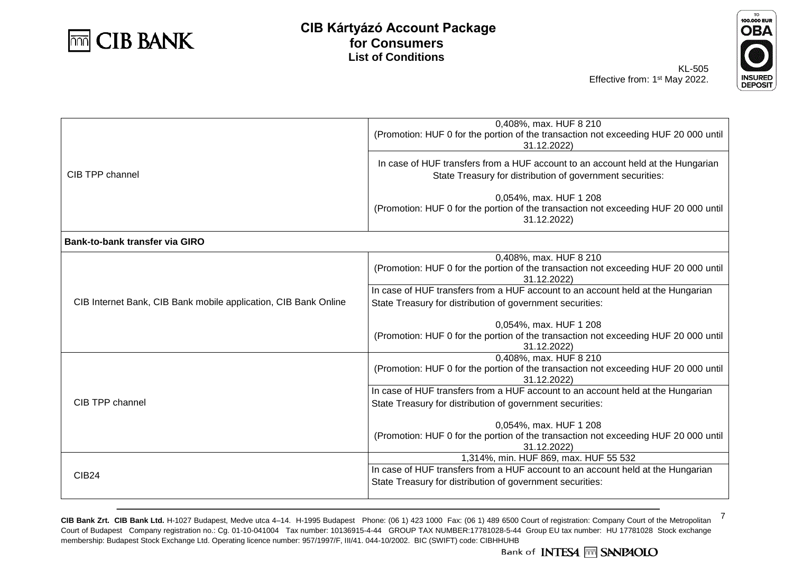



KL-505 Effective from: 1<sup>st</sup> May 2022.

|                                                                 | 0,408%, max. HUF 8 210<br>(Promotion: HUF 0 for the portion of the transaction not exceeding HUF 20 000 until<br>31.12.2022)                                                          |
|-----------------------------------------------------------------|---------------------------------------------------------------------------------------------------------------------------------------------------------------------------------------|
| CIB TPP channel                                                 | In case of HUF transfers from a HUF account to an account held at the Hungarian<br>State Treasury for distribution of government securities:                                          |
|                                                                 | 0,054%, max. HUF 1 208<br>(Promotion: HUF 0 for the portion of the transaction not exceeding HUF 20 000 until<br>31.12.2022)                                                          |
| Bank-to-bank transfer via GIRO                                  |                                                                                                                                                                                       |
|                                                                 | 0,408%, max. HUF 8 210<br>(Promotion: HUF 0 for the portion of the transaction not exceeding HUF 20 000 until<br>31.12.2022)                                                          |
| CIB Internet Bank, CIB Bank mobile application, CIB Bank Online | In case of HUF transfers from a HUF account to an account held at the Hungarian<br>State Treasury for distribution of government securities:                                          |
|                                                                 | 0,054%, max. HUF 1 208<br>(Promotion: HUF 0 for the portion of the transaction not exceeding HUF 20 000 until<br>31.12.2022)                                                          |
|                                                                 | 0,408%, max. HUF 8 210<br>(Promotion: HUF 0 for the portion of the transaction not exceeding HUF 20 000 until<br>31.12.2022)                                                          |
| CIB TPP channel                                                 | In case of HUF transfers from a HUF account to an account held at the Hungarian<br>State Treasury for distribution of government securities:                                          |
|                                                                 | 0,054%, max. HUF 1 208<br>(Promotion: HUF 0 for the portion of the transaction not exceeding HUF 20 000 until<br>31.12.2022)                                                          |
| <b>CIB24</b>                                                    | 1,314%, min. HUF 869, max. HUF 55 532<br>In case of HUF transfers from a HUF account to an account held at the Hungarian<br>State Treasury for distribution of government securities: |

**CIB Bank Zrt. CIB Bank Ltd.** H-1027 Budapest, Medve utca 4–14. H-1995 Budapest Phone: (06 1) 423 1000 Fax: (06 1) 489 6500 Court of registration: Company Court of the Metropolitan Court of Budapest Company registration no.: Cg. 01-10-041004 Tax number: 10136915-4-44 GROUP TAX NUMBER:17781028-5-44 Group EU tax number: HU 17781028 Stock exchange membership: Budapest Stock Exchange Ltd. Operating licence number: 957/1997/F, III/41. 044-10/2002. BIC (SWIFT) code: CIBHHUHB

7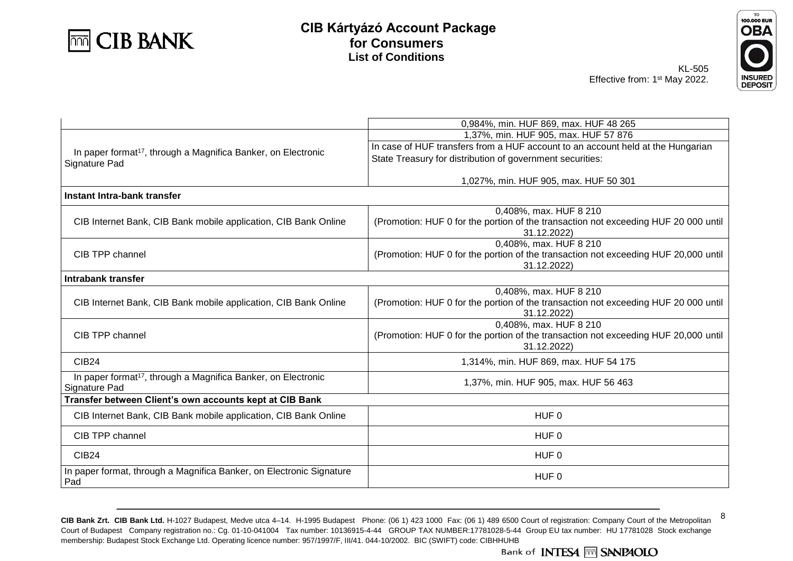



KL-505 Effective from: 1<sup>st</sup> May 2022.

| <b>INSUREI</b> |
|----------------|
| DEPC<br>Sľ     |

8

|                                                                           | 0,984%, min. HUF 869, max. HUF 48 265                                               |  |  |
|---------------------------------------------------------------------------|-------------------------------------------------------------------------------------|--|--|
|                                                                           | 1,37%, min. HUF 905, max. HUF 57 876                                                |  |  |
|                                                                           | In case of HUF transfers from a HUF account to an account held at the Hungarian     |  |  |
| In paper format <sup>17</sup> , through a Magnifica Banker, on Electronic |                                                                                     |  |  |
| Signature Pad                                                             | State Treasury for distribution of government securities:                           |  |  |
|                                                                           | 1,027%, min. HUF 905, max. HUF 50 301                                               |  |  |
|                                                                           |                                                                                     |  |  |
| Instant Intra-bank transfer                                               |                                                                                     |  |  |
|                                                                           | 0,408%, max. HUF 8 210                                                              |  |  |
| CIB Internet Bank, CIB Bank mobile application, CIB Bank Online           | (Promotion: HUF 0 for the portion of the transaction not exceeding HUF 20 000 until |  |  |
|                                                                           | 31.12.2022)                                                                         |  |  |
|                                                                           | 0,408%, max. HUF 8 210                                                              |  |  |
| CIB TPP channel                                                           | (Promotion: HUF 0 for the portion of the transaction not exceeding HUF 20,000 until |  |  |
|                                                                           | 31.12.2022)                                                                         |  |  |
| Intrabank transfer                                                        |                                                                                     |  |  |
|                                                                           | 0,408%, max. HUF 8 210                                                              |  |  |
| CIB Internet Bank, CIB Bank mobile application, CIB Bank Online           | (Promotion: HUF 0 for the portion of the transaction not exceeding HUF 20 000 until |  |  |
|                                                                           | 31.12.2022)                                                                         |  |  |
|                                                                           | 0,408%, max. HUF 8 210                                                              |  |  |
| CIB TPP channel                                                           | (Promotion: HUF 0 for the portion of the transaction not exceeding HUF 20,000 until |  |  |
|                                                                           | 31.12.2022)                                                                         |  |  |
| <b>CIB24</b>                                                              | 1,314%, min. HUF 869, max. HUF 54 175                                               |  |  |
| In paper format <sup>17</sup> , through a Magnifica Banker, on Electronic | 1,37%, min. HUF 905, max. HUF 56 463                                                |  |  |
| Signature Pad                                                             |                                                                                     |  |  |
| Transfer between Client's own accounts kept at CIB Bank                   |                                                                                     |  |  |
| CIB Internet Bank, CIB Bank mobile application, CIB Bank Online           | HUF <sub>0</sub>                                                                    |  |  |
| CIB TPP channel                                                           | HUF 0                                                                               |  |  |
| <b>CIB24</b>                                                              | HUF <sub>0</sub>                                                                    |  |  |
| In paper format, through a Magnifica Banker, on Electronic Signature      | HUF <sub>0</sub>                                                                    |  |  |
| Pad                                                                       |                                                                                     |  |  |

**CIB Bank Zrt. CIB Bank Ltd.** H-1027 Budapest, Medve utca 4–14. H-1995 Budapest Phone: (06 1) 423 1000 Fax: (06 1) 489 6500 Court of registration: Company Court of the Metropolitan Court of Budapest Company registration no.: Cg. 01-10-041004 Tax number: 10136915-4-44 GROUP TAX NUMBER:17781028-5-44 Group EU tax number: HU 17781028 Stock exchange membership: Budapest Stock Exchange Ltd. Operating licence number: 957/1997/F, III/41. 044-10/2002. BIC (SWIFT) code: CIBHHUHB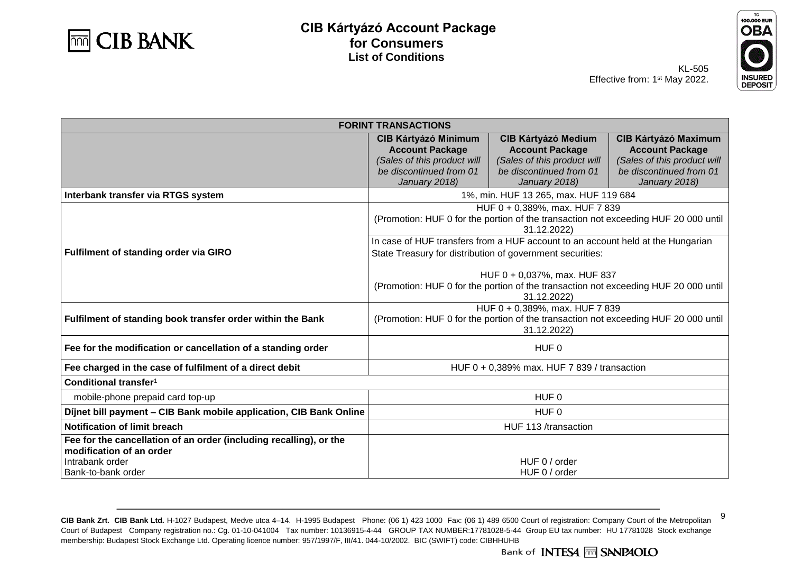



9

KL-505 Effective from: 1<sup>st</sup> May 2022.

| <b>FORINT TRANSACTIONS</b>                                                                                        |                                                                                                                                      |                                                                                     |                                                                                      |  |
|-------------------------------------------------------------------------------------------------------------------|--------------------------------------------------------------------------------------------------------------------------------------|-------------------------------------------------------------------------------------|--------------------------------------------------------------------------------------|--|
|                                                                                                                   | <b>CIB Kártyázó Minimum</b><br><b>Account Package</b><br>(Sales of this product will                                                 | <b>CIB Kártyázó Medium</b><br><b>Account Package</b><br>(Sales of this product will | <b>CIB Kártyázó Maximum</b><br><b>Account Package</b><br>(Sales of this product will |  |
|                                                                                                                   | be discontinued from 01<br>January 2018)                                                                                             | be discontinued from 01<br>January 2018)                                            | be discontinued from 01<br>January 2018)                                             |  |
| Interbank transfer via RTGS system                                                                                |                                                                                                                                      | 1%, min. HUF 13 265, max. HUF 119 684                                               |                                                                                      |  |
|                                                                                                                   | HUF 0 + 0,389%, max. HUF 7 839<br>(Promotion: HUF 0 for the portion of the transaction not exceeding HUF 20 000 until<br>31.12.2022) |                                                                                     |                                                                                      |  |
| <b>Fulfilment of standing order via GIRO</b>                                                                      | State Treasury for distribution of government securities:                                                                            | In case of HUF transfers from a HUF account to an account held at the Hungarian     |                                                                                      |  |
|                                                                                                                   | HUF 0 + 0,037%, max. HUF 837<br>(Promotion: HUF 0 for the portion of the transaction not exceeding HUF 20 000 until<br>31.12.2022)   |                                                                                     |                                                                                      |  |
| Fulfilment of standing book transfer order within the Bank                                                        | HUF 0 + 0,389%, max. HUF 7 839<br>(Promotion: HUF 0 for the portion of the transaction not exceeding HUF 20 000 until<br>31.12.2022) |                                                                                     |                                                                                      |  |
| Fee for the modification or cancellation of a standing order                                                      | HUF <sub>0</sub>                                                                                                                     |                                                                                     |                                                                                      |  |
| Fee charged in the case of fulfilment of a direct debit                                                           |                                                                                                                                      | HUF 0 + 0,389% max. HUF 7 839 / transaction                                         |                                                                                      |  |
| Conditional transfer <sup>1</sup>                                                                                 |                                                                                                                                      |                                                                                     |                                                                                      |  |
| mobile-phone prepaid card top-up                                                                                  |                                                                                                                                      | HUF <sub>0</sub>                                                                    |                                                                                      |  |
| Díjnet bill payment - CIB Bank mobile application, CIB Bank Online                                                | HUF <sub>0</sub>                                                                                                                     |                                                                                     |                                                                                      |  |
| Notification of limit breach                                                                                      | HUF 113 /transaction                                                                                                                 |                                                                                     |                                                                                      |  |
| Fee for the cancellation of an order (including recalling), or the<br>modification of an order<br>Intrabank order |                                                                                                                                      | HUF 0 / order                                                                       |                                                                                      |  |
| l Bank-to-bank order                                                                                              | HUF 0 / order                                                                                                                        |                                                                                     |                                                                                      |  |

**CIB Bank Zrt. CIB Bank Ltd.** H-1027 Budapest, Medve utca 4–14. H-1995 Budapest Phone: (06 1) 423 1000 Fax: (06 1) 489 6500 Court of registration: Company Court of the Metropolitan Court of Budapest Company registration no.: Cg. 01-10-041004 Tax number: 10136915-4-44 GROUP TAX NUMBER:17781028-5-44 Group EU tax number: HU 17781028 Stock exchange membership: Budapest Stock Exchange Ltd. Operating licence number: 957/1997/F, III/41. 044-10/2002. BIC (SWIFT) code: CIBHHUHB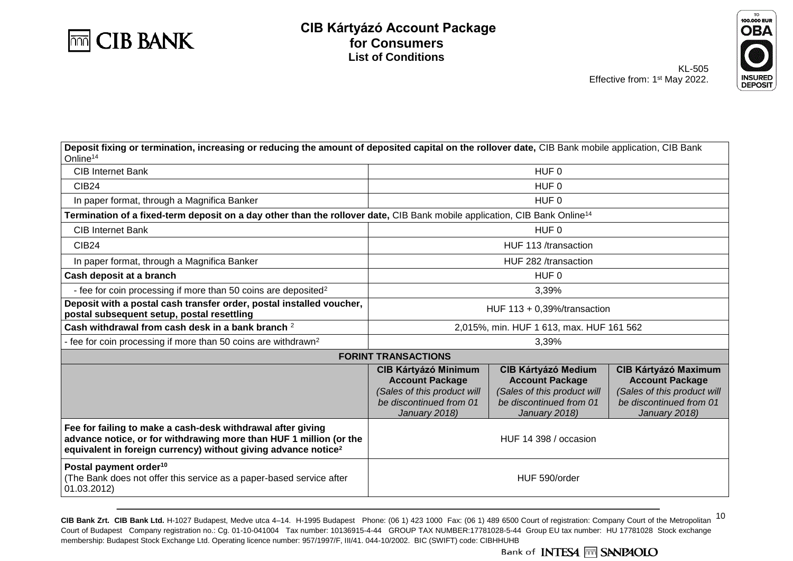



| Deposit fixing or termination, increasing or reducing the amount of deposited capital on the rollover date, CIB Bank mobile application, CIB Bank<br>Online <sup>14</sup>                                       |                                                                                                                                  |                                                                                                                                 |                                                                                                                                  |  |
|-----------------------------------------------------------------------------------------------------------------------------------------------------------------------------------------------------------------|----------------------------------------------------------------------------------------------------------------------------------|---------------------------------------------------------------------------------------------------------------------------------|----------------------------------------------------------------------------------------------------------------------------------|--|
| <b>CIB Internet Bank</b>                                                                                                                                                                                        | HUF <sub>0</sub>                                                                                                                 |                                                                                                                                 |                                                                                                                                  |  |
| <b>CIB24</b>                                                                                                                                                                                                    |                                                                                                                                  | HUF <sub>0</sub>                                                                                                                |                                                                                                                                  |  |
| In paper format, through a Magnifica Banker                                                                                                                                                                     |                                                                                                                                  | HUF <sub>0</sub>                                                                                                                |                                                                                                                                  |  |
| Termination of a fixed-term deposit on a day other than the rollover date, CIB Bank mobile application, CIB Bank Online <sup>14</sup>                                                                           |                                                                                                                                  |                                                                                                                                 |                                                                                                                                  |  |
| <b>CIB Internet Bank</b>                                                                                                                                                                                        |                                                                                                                                  | HUF <sub>0</sub>                                                                                                                |                                                                                                                                  |  |
| <b>CIB24</b>                                                                                                                                                                                                    |                                                                                                                                  | HUF 113 /transaction                                                                                                            |                                                                                                                                  |  |
| In paper format, through a Magnifica Banker                                                                                                                                                                     |                                                                                                                                  | HUF 282 /transaction                                                                                                            |                                                                                                                                  |  |
| Cash deposit at a branch                                                                                                                                                                                        |                                                                                                                                  | HUF <sub>0</sub>                                                                                                                |                                                                                                                                  |  |
| - fee for coin processing if more than 50 coins are deposited <sup>2</sup>                                                                                                                                      |                                                                                                                                  | 3,39%                                                                                                                           |                                                                                                                                  |  |
| Deposit with a postal cash transfer order, postal installed voucher,<br>postal subsequent setup, postal resettling                                                                                              | HUF $113 + 0,39\%$ /transaction                                                                                                  |                                                                                                                                 |                                                                                                                                  |  |
| Cash withdrawal from cash desk in a bank branch 2                                                                                                                                                               | 2,015%, min. HUF 1 613, max. HUF 161 562                                                                                         |                                                                                                                                 |                                                                                                                                  |  |
| fee for coin processing if more than 50 coins are withdrawn <sup>2</sup>                                                                                                                                        | 3,39%                                                                                                                            |                                                                                                                                 |                                                                                                                                  |  |
|                                                                                                                                                                                                                 | <b>FORINT TRANSACTIONS</b>                                                                                                       |                                                                                                                                 |                                                                                                                                  |  |
|                                                                                                                                                                                                                 | <b>CIB Kártyázó Minimum</b><br><b>Account Package</b><br>(Sales of this product will<br>be discontinued from 01<br>January 2018) | <b>CIB Kártyázó Medium</b><br><b>Account Package</b><br>(Sales of this product will<br>be discontinued from 01<br>January 2018) | <b>CIB Kártyázó Maximum</b><br><b>Account Package</b><br>(Sales of this product will<br>be discontinued from 01<br>January 2018) |  |
| Fee for failing to make a cash-desk withdrawal after giving<br>advance notice, or for withdrawing more than HUF 1 million (or the<br>equivalent in foreign currency) without giving advance notice <sup>2</sup> | HUF 14 398 / occasion                                                                                                            |                                                                                                                                 |                                                                                                                                  |  |
| Postal payment order <sup>10</sup><br>(The Bank does not offer this service as a paper-based service after<br>01.03.2012)                                                                                       | HUF 590/order                                                                                                                    |                                                                                                                                 |                                                                                                                                  |  |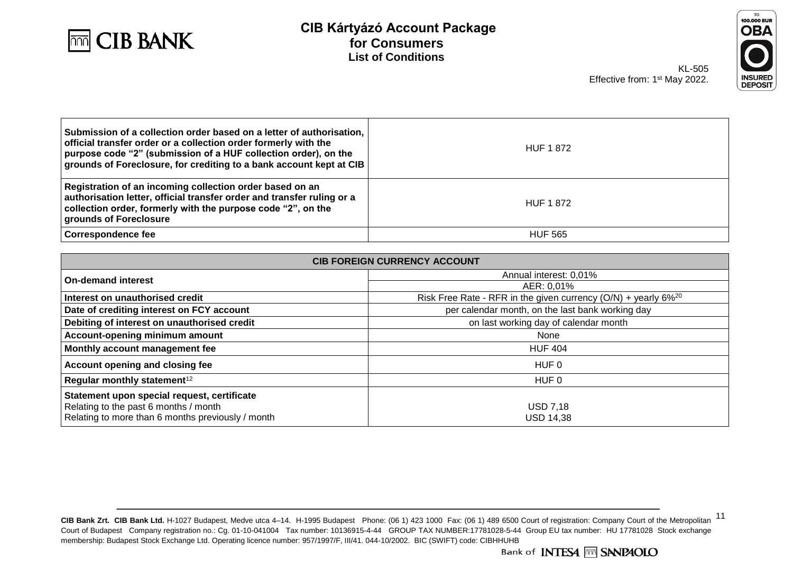



KL-505 Effective from: 1<sup>st</sup> May 2022.

| Submission of a collection order based on a letter of authorisation,<br>official transfer order or a collection order formerly with the<br>purpose code "2" (submission of a HUF collection order), on the<br>  grounds of Foreclosure, for crediting to a bank account kept at CIB | <b>HUF 1872</b> |
|-------------------------------------------------------------------------------------------------------------------------------------------------------------------------------------------------------------------------------------------------------------------------------------|-----------------|
| Registration of an incoming collection order based on an<br>authorisation letter, official transfer order and transfer ruling or a<br>collection order, formerly with the purpose code "2", on the<br>grounds of Foreclosure                                                        | <b>HUF 1872</b> |
| Correspondence fee                                                                                                                                                                                                                                                                  | <b>HUF 565</b>  |

| <b>CIB FOREIGN CURRENCY ACCOUNT</b>                                                                                                       |                                                                              |  |  |
|-------------------------------------------------------------------------------------------------------------------------------------------|------------------------------------------------------------------------------|--|--|
| <b>On-demand interest</b>                                                                                                                 | Annual interest: 0,01%                                                       |  |  |
|                                                                                                                                           | AER: 0,01%                                                                   |  |  |
| Interest on unauthorised credit                                                                                                           | Risk Free Rate - RFR in the given currency $(O/N)$ + yearly 6% <sup>20</sup> |  |  |
| Date of crediting interest on FCY account                                                                                                 | per calendar month, on the last bank working day                             |  |  |
| Debiting of interest on unauthorised credit                                                                                               | on last working day of calendar month                                        |  |  |
| Account-opening minimum amount                                                                                                            | None                                                                         |  |  |
| Monthly account management fee                                                                                                            | <b>HUF 404</b>                                                               |  |  |
| Account opening and closing fee                                                                                                           | HUF 0                                                                        |  |  |
| Regular monthly statement <sup>12</sup>                                                                                                   | HUF 0                                                                        |  |  |
| Statement upon special request, certificate<br>Relating to the past 6 months / month<br>Relating to more than 6 months previously / month | <b>USD 7,18</b><br><b>USD 14.38</b>                                          |  |  |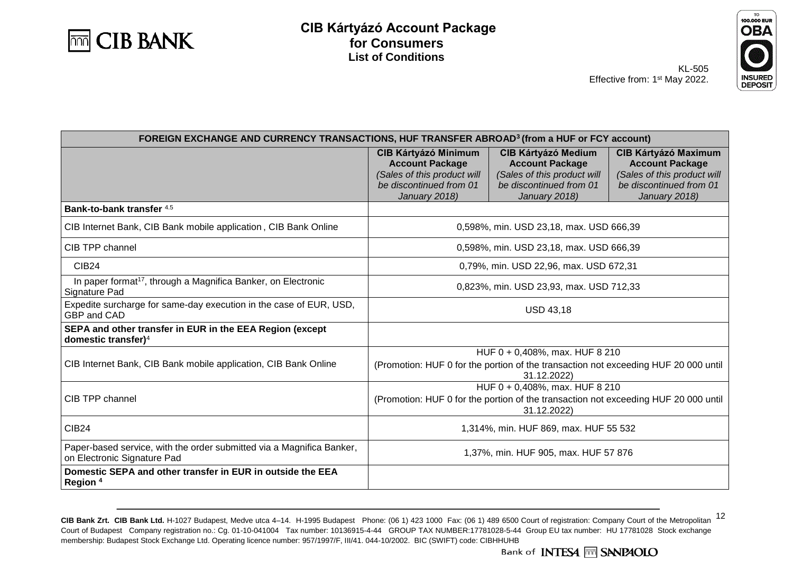



KL-505 Effective from: 1<sup>st</sup> May 2022.

| FOREIGN EXCHANGE AND CURRENCY TRANSACTIONS, HUF TRANSFER ABROAD <sup>3</sup> (from a HUF or FCY account) |                                                                                                                                          |                                                                                                                                 |                                                                                                                                  |
|----------------------------------------------------------------------------------------------------------|------------------------------------------------------------------------------------------------------------------------------------------|---------------------------------------------------------------------------------------------------------------------------------|----------------------------------------------------------------------------------------------------------------------------------|
|                                                                                                          | <b>CIB Kártyázó Minimum</b><br><b>Account Package</b><br>(Sales of this product will<br>be discontinued from 01<br>January 2018)         | <b>CIB Kártyázó Medium</b><br><b>Account Package</b><br>(Sales of this product will<br>be discontinued from 01<br>January 2018) | <b>CIB Kártyázó Maximum</b><br><b>Account Package</b><br>(Sales of this product will<br>be discontinued from 01<br>January 2018) |
| Bank-to-bank transfer 4.5                                                                                |                                                                                                                                          |                                                                                                                                 |                                                                                                                                  |
| CIB Internet Bank, CIB Bank mobile application, CIB Bank Online                                          |                                                                                                                                          | 0,598%, min. USD 23,18, max. USD 666,39                                                                                         |                                                                                                                                  |
| CIB TPP channel                                                                                          |                                                                                                                                          | 0,598%, min. USD 23,18, max. USD 666,39                                                                                         |                                                                                                                                  |
| CIB <sub>24</sub>                                                                                        |                                                                                                                                          | 0,79%, min. USD 22,96, max. USD 672,31                                                                                          |                                                                                                                                  |
| In paper format <sup>17</sup> , through a Magnifica Banker, on Electronic<br>Signature Pad               | 0,823%, min. USD 23,93, max. USD 712,33                                                                                                  |                                                                                                                                 |                                                                                                                                  |
| Expedite surcharge for same-day execution in the case of EUR, USD,<br><b>GBP and CAD</b>                 | <b>USD 43,18</b>                                                                                                                         |                                                                                                                                 |                                                                                                                                  |
| SEPA and other transfer in EUR in the EEA Region (except<br>domestic transfer) $4$                       |                                                                                                                                          |                                                                                                                                 |                                                                                                                                  |
| CIB Internet Bank, CIB Bank mobile application, CIB Bank Online                                          | $HUF 0 + 0,408\%$ , max. HUF 8 210<br>(Promotion: HUF 0 for the portion of the transaction not exceeding HUF 20 000 until<br>31.12.2022) |                                                                                                                                 |                                                                                                                                  |
| CIB TPP channel                                                                                          | HUF 0 + 0,408%, max. HUF 8 210<br>(Promotion: HUF 0 for the portion of the transaction not exceeding HUF 20 000 until<br>31.12.2022)     |                                                                                                                                 |                                                                                                                                  |
| <b>CIB24</b>                                                                                             | 1,314%, min. HUF 869, max. HUF 55 532                                                                                                    |                                                                                                                                 |                                                                                                                                  |
| Paper-based service, with the order submitted via a Magnifica Banker,<br>on Electronic Signature Pad     | 1,37%, min. HUF 905, max. HUF 57 876                                                                                                     |                                                                                                                                 |                                                                                                                                  |
| Domestic SEPA and other transfer in EUR in outside the EEA<br>Region <sup>4</sup>                        |                                                                                                                                          |                                                                                                                                 |                                                                                                                                  |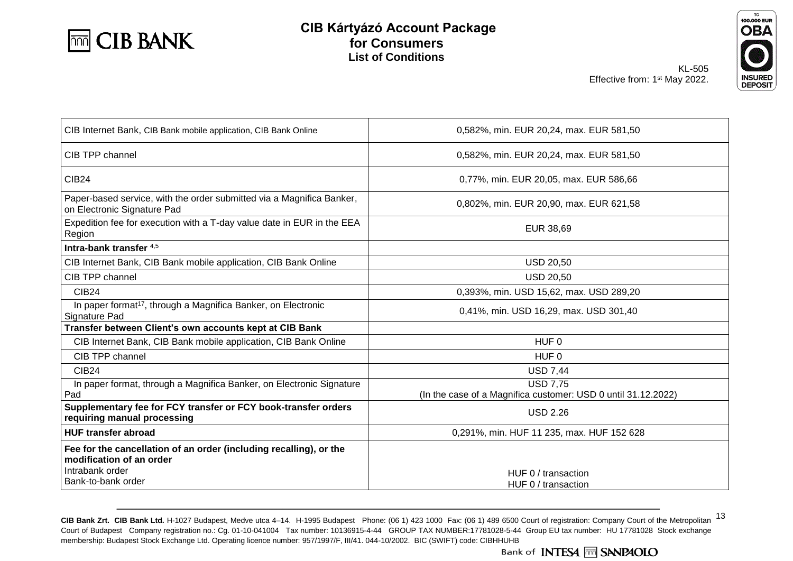



| CIB Internet Bank, CIB Bank mobile application, CIB Bank Online                                                                         | 0,582%, min. EUR 20,24, max. EUR 581,50                                          |  |  |
|-----------------------------------------------------------------------------------------------------------------------------------------|----------------------------------------------------------------------------------|--|--|
| CIB TPP channel                                                                                                                         | 0,582%, min. EUR 20,24, max. EUR 581,50                                          |  |  |
| <b>CIB24</b>                                                                                                                            | 0,77%, min. EUR 20,05, max. EUR 586,66                                           |  |  |
| Paper-based service, with the order submitted via a Magnifica Banker,<br>on Electronic Signature Pad                                    | 0,802%, min. EUR 20,90, max. EUR 621,58                                          |  |  |
| Expedition fee for execution with a T-day value date in EUR in the EEA<br>Region                                                        | EUR 38,69                                                                        |  |  |
| Intra-bank transfer $4,5$                                                                                                               |                                                                                  |  |  |
| CIB Internet Bank, CIB Bank mobile application, CIB Bank Online                                                                         | <b>USD 20,50</b>                                                                 |  |  |
| CIB TPP channel                                                                                                                         | <b>USD 20,50</b>                                                                 |  |  |
| <b>CIB24</b>                                                                                                                            | 0,393%, min. USD 15,62, max. USD 289,20                                          |  |  |
| In paper format <sup>17</sup> , through a Magnifica Banker, on Electronic<br>Signature Pad                                              | 0,41%, min. USD 16,29, max. USD 301,40                                           |  |  |
| Transfer between Client's own accounts kept at CIB Bank                                                                                 |                                                                                  |  |  |
| CIB Internet Bank, CIB Bank mobile application, CIB Bank Online                                                                         | HUF <sub>0</sub>                                                                 |  |  |
| CIB TPP channel                                                                                                                         | HUF <sub>0</sub>                                                                 |  |  |
| CIB24                                                                                                                                   | <b>USD 7,44</b>                                                                  |  |  |
| In paper format, through a Magnifica Banker, on Electronic Signature<br>Pad                                                             | <b>USD 7.75</b><br>(In the case of a Magnifica customer: USD 0 until 31.12.2022) |  |  |
| Supplementary fee for FCY transfer or FCY book-transfer orders<br>requiring manual processing                                           | <b>USD 2.26</b>                                                                  |  |  |
| <b>HUF transfer abroad</b>                                                                                                              | 0,291%, min. HUF 11 235, max. HUF 152 628                                        |  |  |
| Fee for the cancellation of an order (including recalling), or the<br>modification of an order<br>Intrabank order<br>Bank-to-bank order | HUF 0 / transaction<br>HUF 0 / transaction                                       |  |  |
|                                                                                                                                         |                                                                                  |  |  |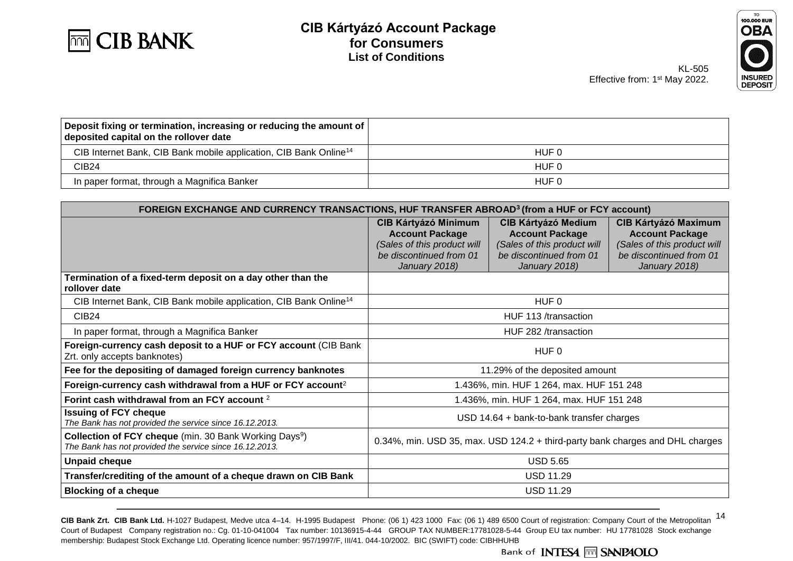



KL-505 Effective from: 1<sup>st</sup> May 2022.

| Deposit fixing or termination, increasing or reducing the amount of  <br>deposited capital on the rollover date |       |
|-----------------------------------------------------------------------------------------------------------------|-------|
| CIB Internet Bank, CIB Bank mobile application, CIB Bank Online <sup>14</sup>                                   | HUF 0 |
| CIB <sub>24</sub>                                                                                               | HUF 0 |
| In paper format, through a Magnifica Banker                                                                     | HUF 0 |

| FOREIGN EXCHANGE AND CURRENCY TRANSACTIONS, HUF TRANSFER ABROAD <sup>3</sup> (from a HUF or FCY account)                             |                                                                                                                                  |                                                                                                                                 |                                                                                                                                  |
|--------------------------------------------------------------------------------------------------------------------------------------|----------------------------------------------------------------------------------------------------------------------------------|---------------------------------------------------------------------------------------------------------------------------------|----------------------------------------------------------------------------------------------------------------------------------|
|                                                                                                                                      | <b>CIB Kártyázó Minimum</b><br><b>Account Package</b><br>(Sales of this product will<br>be discontinued from 01<br>January 2018) | <b>CIB Kártyázó Medium</b><br><b>Account Package</b><br>(Sales of this product will<br>be discontinued from 01<br>January 2018) | <b>CIB Kártyázó Maximum</b><br><b>Account Package</b><br>(Sales of this product will<br>be discontinued from 01<br>January 2018) |
| Termination of a fixed-term deposit on a day other than the<br>rollover date                                                         |                                                                                                                                  |                                                                                                                                 |                                                                                                                                  |
| CIB Internet Bank, CIB Bank mobile application, CIB Bank Online <sup>14</sup>                                                        |                                                                                                                                  | HUF <sub>0</sub>                                                                                                                |                                                                                                                                  |
| CIB <sub>24</sub>                                                                                                                    | HUF 113 /transaction                                                                                                             |                                                                                                                                 |                                                                                                                                  |
| In paper format, through a Magnifica Banker                                                                                          | HUF 282 /transaction                                                                                                             |                                                                                                                                 |                                                                                                                                  |
| Foreign-currency cash deposit to a HUF or FCY account (CIB Bank<br>Zrt. only accepts banknotes)                                      | HUF 0                                                                                                                            |                                                                                                                                 |                                                                                                                                  |
| Fee for the depositing of damaged foreign currency banknotes                                                                         | 11.29% of the deposited amount                                                                                                   |                                                                                                                                 |                                                                                                                                  |
| Foreign-currency cash withdrawal from a HUF or FCY account <sup>2</sup>                                                              |                                                                                                                                  | 1.436%, min. HUF 1 264, max. HUF 151 248                                                                                        |                                                                                                                                  |
| Forint cash withdrawal from an FCY account 2                                                                                         |                                                                                                                                  | 1.436%, min. HUF 1 264, max. HUF 151 248                                                                                        |                                                                                                                                  |
| <b>Issuing of FCY cheque</b><br>The Bank has not provided the service since 16.12.2013.                                              | $USD$ 14.64 + bank-to-bank transfer charges                                                                                      |                                                                                                                                 |                                                                                                                                  |
| <b>Collection of FCY cheque</b> (min. 30 Bank Working Days <sup>9</sup> )<br>The Bank has not provided the service since 16.12.2013. | 0.34%, min. USD 35, max. USD 124.2 + third-party bank charges and DHL charges                                                    |                                                                                                                                 |                                                                                                                                  |
| <b>Unpaid cheque</b>                                                                                                                 | <b>USD 5.65</b>                                                                                                                  |                                                                                                                                 |                                                                                                                                  |
| Transfer/crediting of the amount of a cheque drawn on CIB Bank                                                                       | <b>USD 11.29</b>                                                                                                                 |                                                                                                                                 |                                                                                                                                  |
| <b>Blocking of a cheque</b>                                                                                                          | <b>USD 11.29</b>                                                                                                                 |                                                                                                                                 |                                                                                                                                  |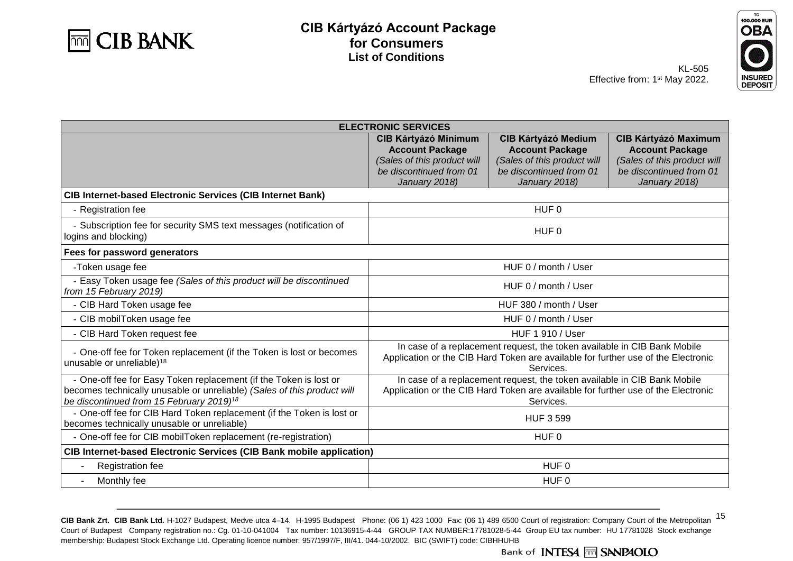



KL-505 Effective from: 1<sup>st</sup> May 2022.

| <b>ELECTRONIC SERVICES</b>                                                                                                                                                                           |                                                                                                                                                                            |                                                                                                                                 |                                                                                                                                  |
|------------------------------------------------------------------------------------------------------------------------------------------------------------------------------------------------------|----------------------------------------------------------------------------------------------------------------------------------------------------------------------------|---------------------------------------------------------------------------------------------------------------------------------|----------------------------------------------------------------------------------------------------------------------------------|
|                                                                                                                                                                                                      | <b>CIB Kártyázó Minimum</b><br><b>Account Package</b><br>(Sales of this product will<br>be discontinued from 01<br>January 2018)                                           | <b>CIB Kártyázó Medium</b><br><b>Account Package</b><br>(Sales of this product will<br>be discontinued from 01<br>January 2018) | <b>CIB Kártyázó Maximum</b><br><b>Account Package</b><br>(Sales of this product will<br>be discontinued from 01<br>January 2018) |
| <b>CIB Internet-based Electronic Services (CIB Internet Bank)</b>                                                                                                                                    |                                                                                                                                                                            |                                                                                                                                 |                                                                                                                                  |
| - Registration fee                                                                                                                                                                                   |                                                                                                                                                                            | HUF <sub>0</sub>                                                                                                                |                                                                                                                                  |
| - Subscription fee for security SMS text messages (notification of<br>logins and blocking)                                                                                                           |                                                                                                                                                                            | HUF <sub>0</sub>                                                                                                                |                                                                                                                                  |
| Fees for password generators                                                                                                                                                                         |                                                                                                                                                                            |                                                                                                                                 |                                                                                                                                  |
| -Token usage fee                                                                                                                                                                                     |                                                                                                                                                                            | HUF 0 / month / User                                                                                                            |                                                                                                                                  |
| - Easy Token usage fee (Sales of this product will be discontinued<br>from 15 February 2019)                                                                                                         | HUF 0 / month / User                                                                                                                                                       |                                                                                                                                 |                                                                                                                                  |
| - CIB Hard Token usage fee                                                                                                                                                                           |                                                                                                                                                                            | HUF 380 / month / User                                                                                                          |                                                                                                                                  |
| - CIB mobilToken usage fee                                                                                                                                                                           | HUF 0 / month / User                                                                                                                                                       |                                                                                                                                 |                                                                                                                                  |
| - CIB Hard Token request fee                                                                                                                                                                         | <b>HUF 1 910 / User</b>                                                                                                                                                    |                                                                                                                                 |                                                                                                                                  |
| - One-off fee for Token replacement (if the Token is lost or becomes<br>unusable or unreliable) <sup>18</sup>                                                                                        | In case of a replacement request, the token available in CIB Bank Mobile<br>Application or the CIB Hard Token are available for further use of the Electronic<br>Services. |                                                                                                                                 |                                                                                                                                  |
| - One-off fee for Easy Token replacement (if the Token is lost or<br>becomes technically unusable or unreliable) (Sales of this product will<br>be discontinued from 15 February 2019) <sup>18</sup> | In case of a replacement request, the token available in CIB Bank Mobile<br>Application or the CIB Hard Token are available for further use of the Electronic<br>Services. |                                                                                                                                 |                                                                                                                                  |
| - One-off fee for CIB Hard Token replacement (if the Token is lost or<br>becomes technically unusable or unreliable)                                                                                 | <b>HUF 3 599</b>                                                                                                                                                           |                                                                                                                                 |                                                                                                                                  |
| - One-off fee for CIB mobilToken replacement (re-registration)                                                                                                                                       | HUF 0                                                                                                                                                                      |                                                                                                                                 |                                                                                                                                  |
| <b>CIB Internet-based Electronic Services (CIB Bank mobile application)</b>                                                                                                                          |                                                                                                                                                                            |                                                                                                                                 |                                                                                                                                  |
| Registration fee<br>$\blacksquare$                                                                                                                                                                   | HUF <sub>0</sub>                                                                                                                                                           |                                                                                                                                 |                                                                                                                                  |
| Monthly fee                                                                                                                                                                                          | HUF 0                                                                                                                                                                      |                                                                                                                                 |                                                                                                                                  |

<sup>15</sup> **CIB Bank Zrt. CIB Bank Ltd.** H-1027 Budapest, Medve utca 4–14. H-1995 Budapest Phone: (06 1) 423 1000 Fax: (06 1) 489 6500 Court of registration: Company Court of the Metropolitan Court of Budapest Company registration no.: Cg. 01-10-041004 Tax number: 10136915-4-44 GROUP TAX NUMBER:17781028-5-44 Group EU tax number: HU 17781028 Stock exchange membership: Budapest Stock Exchange Ltd. Operating licence number: 957/1997/F, III/41. 044-10/2002. BIC (SWIFT) code: CIBHHUHB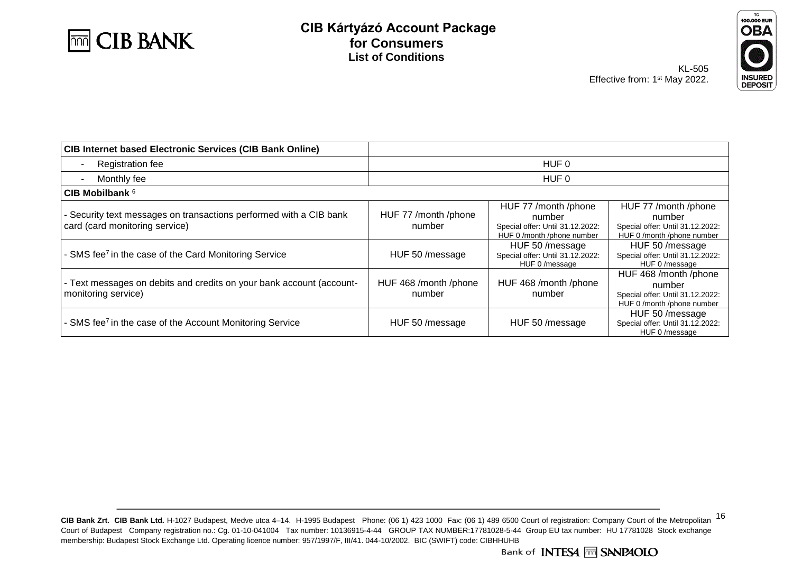



| <b>CIB Internet based Electronic Services (CIB Bank Online)</b>                                      |                                 |                                                                                                  |                                                                                                   |  |
|------------------------------------------------------------------------------------------------------|---------------------------------|--------------------------------------------------------------------------------------------------|---------------------------------------------------------------------------------------------------|--|
| <b>Registration fee</b>                                                                              |                                 | HUF 0                                                                                            |                                                                                                   |  |
| Monthly fee<br>$\blacksquare$                                                                        |                                 | HUF 0                                                                                            |                                                                                                   |  |
| CIB Mobilbank $6$                                                                                    |                                 |                                                                                                  |                                                                                                   |  |
| - Security text messages on transactions performed with a CIB bank<br>card (card monitoring service) | HUF 77 /month /phone<br>number  | HUF 77 /month /phone<br>number<br>Special offer: Until 31.12.2022:<br>HUF 0 /month /phone number | HUF 77 /month /phone<br>number<br>Special offer: Until 31.12.2022:<br>HUF 0 /month /phone number  |  |
| - SMS fee <sup>7</sup> in the case of the Card Monitoring Service                                    | HUF 50 / message                | HUF 50 /message<br>Special offer: Until 31.12.2022:<br>HUF 0/message                             | HUF 50 /message<br>Special offer: Until 31.12.2022:<br>HUF 0/message                              |  |
| - Text messages on debits and credits on your bank account (account-<br>monitoring service)          | HUF 468 /month /phone<br>number | HUF 468 /month /phone<br>number                                                                  | HUF 468 /month /phone<br>number<br>Special offer: Until 31.12.2022:<br>HUF 0 /month /phone number |  |
| - SMS fee <sup>7</sup> in the case of the Account Monitoring Service                                 | HUF 50 /message                 | HUF 50 /message                                                                                  | HUF 50 /message<br>Special offer: Until 31.12.2022:<br>HUF 0/message                              |  |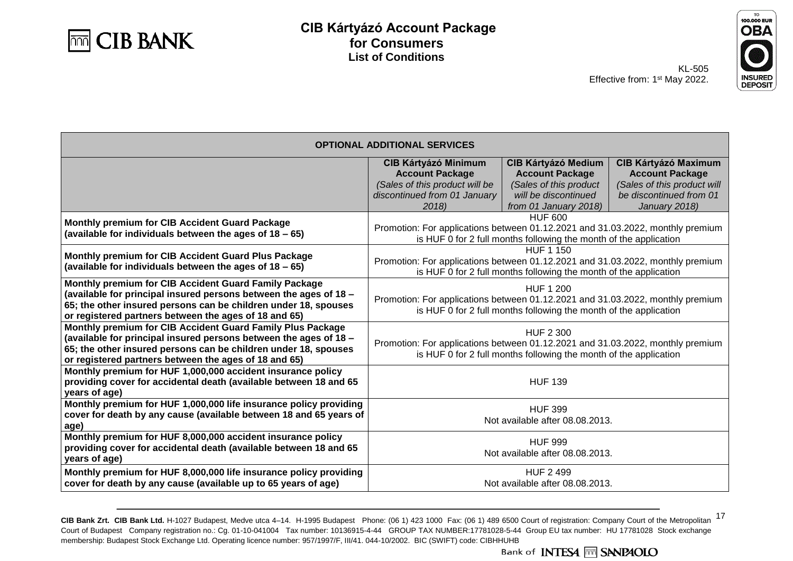



KL-505 Effective from: 1<sup>st</sup> May 2022.

| <b>OPTIONAL ADDITIONAL SERVICES</b>                                                                                                                                                                                                                         |                                                                                                                                                                         |                                                                                                                                 |                                                                                                                                  |
|-------------------------------------------------------------------------------------------------------------------------------------------------------------------------------------------------------------------------------------------------------------|-------------------------------------------------------------------------------------------------------------------------------------------------------------------------|---------------------------------------------------------------------------------------------------------------------------------|----------------------------------------------------------------------------------------------------------------------------------|
|                                                                                                                                                                                                                                                             | <b>CIB Kártyázó Minimum</b><br><b>Account Package</b><br>(Sales of this product will be<br>discontinued from 01 January<br>2018)                                        | <b>CIB Kártyázó Medium</b><br><b>Account Package</b><br>(Sales of this product<br>will be discontinued<br>from 01 January 2018) | <b>CIB Kártyázó Maximum</b><br><b>Account Package</b><br>(Sales of this product will<br>be discontinued from 01<br>January 2018) |
| Monthly premium for CIB Accident Guard Package<br>(available for individuals between the ages of 18 - 65)                                                                                                                                                   | <b>HUF 600</b><br>Promotion: For applications between 01.12.2021 and 31.03.2022, monthly premium<br>is HUF 0 for 2 full months following the month of the application   |                                                                                                                                 |                                                                                                                                  |
| Monthly premium for CIB Accident Guard Plus Package<br>(available for individuals between the ages of 18 - 65)                                                                                                                                              | <b>HUF 1 150</b><br>Promotion: For applications between 01.12.2021 and 31.03.2022, monthly premium<br>is HUF 0 for 2 full months following the month of the application |                                                                                                                                 |                                                                                                                                  |
| Monthly premium for CIB Accident Guard Family Package<br>(available for principal insured persons between the ages of 18 -<br>65; the other insured persons can be children under 18, spouses<br>or registered partners between the ages of 18 and 65)      | <b>HUF 1 200</b><br>Promotion: For applications between 01.12.2021 and 31.03.2022, monthly premium<br>is HUF 0 for 2 full months following the month of the application |                                                                                                                                 |                                                                                                                                  |
| Monthly premium for CIB Accident Guard Family Plus Package<br>(available for principal insured persons between the ages of 18 -<br>65; the other insured persons can be children under 18, spouses<br>or registered partners between the ages of 18 and 65) | <b>HUF 2 300</b><br>Promotion: For applications between 01.12.2021 and 31.03.2022, monthly premium<br>is HUF 0 for 2 full months following the month of the application |                                                                                                                                 |                                                                                                                                  |
| Monthly premium for HUF 1,000,000 accident insurance policy<br>providing cover for accidental death (available between 18 and 65<br>years of age)                                                                                                           | <b>HUF 139</b>                                                                                                                                                          |                                                                                                                                 |                                                                                                                                  |
| Monthly premium for HUF 1,000,000 life insurance policy providing<br>cover for death by any cause (available between 18 and 65 years of<br>age)                                                                                                             | <b>HUF 399</b><br>Not available after 08.08.2013.                                                                                                                       |                                                                                                                                 |                                                                                                                                  |
| Monthly premium for HUF 8,000,000 accident insurance policy<br>providing cover for accidental death (available between 18 and 65<br>years of age)                                                                                                           | <b>HUF 999</b><br>Not available after 08.08.2013.                                                                                                                       |                                                                                                                                 |                                                                                                                                  |
| Monthly premium for HUF 8,000,000 life insurance policy providing<br>cover for death by any cause (available up to 65 years of age)                                                                                                                         | <b>HUF 2 499</b><br>Not available after 08.08.2013.                                                                                                                     |                                                                                                                                 |                                                                                                                                  |

CIB Bank Zrt. CIB Bank Ltd. H-1027 Budapest, Medve utca 4-14. H-1995 Budapest Phone: (06 1) 423 1000 Fax: (06 1) 489 6500 Court of registration: Company Court of the Metropolitan 17 Court of Budapest Company registration no.: Cg. 01-10-041004 Tax number: 10136915-4-44 GROUP TAX NUMBER:17781028-5-44 Group EU tax number: HU 17781028 Stock exchange membership: Budapest Stock Exchange Ltd. Operating licence number: 957/1997/F, III/41. 044-10/2002. BIC (SWIFT) code: CIBHHUHB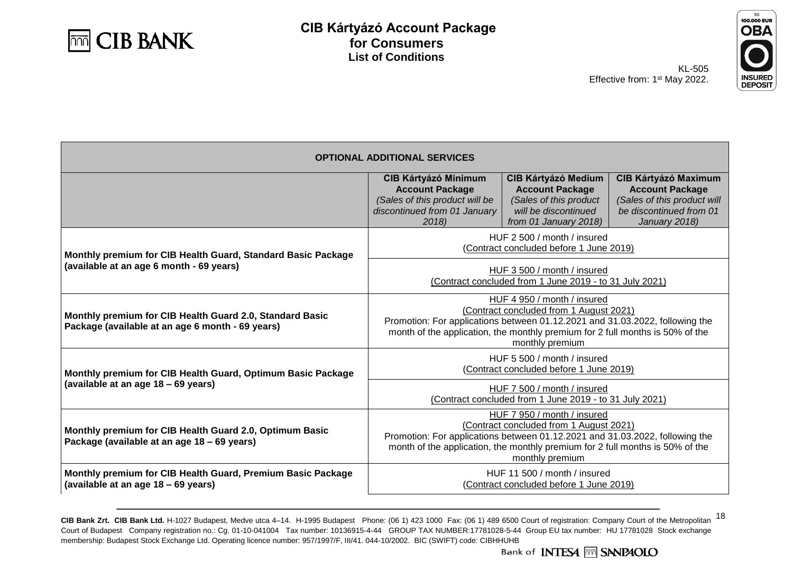



KL-505 Effective from: 1<sup>st</sup> May 2022.

| <b>OPTIONAL ADDITIONAL SERVICES</b>                                                                          |                                                                                                                                                                                                                                                            |                                                                                                                                 |                                                                                                                                  |  |
|--------------------------------------------------------------------------------------------------------------|------------------------------------------------------------------------------------------------------------------------------------------------------------------------------------------------------------------------------------------------------------|---------------------------------------------------------------------------------------------------------------------------------|----------------------------------------------------------------------------------------------------------------------------------|--|
|                                                                                                              | <b>CIB Kártyázó Minimum</b><br><b>Account Package</b><br>(Sales of this product will be<br>discontinued from 01 January<br>2018                                                                                                                            | <b>CIB Kártyázó Medium</b><br><b>Account Package</b><br>(Sales of this product<br>will be discontinued<br>from 01 January 2018) | <b>CIB Kártyázó Maximum</b><br><b>Account Package</b><br>(Sales of this product will<br>be discontinued from 01<br>January 2018) |  |
| Monthly premium for CIB Health Guard, Standard Basic Package                                                 | HUF 2 500 / month / insured<br>(Contract concluded before 1 June 2019)                                                                                                                                                                                     |                                                                                                                                 |                                                                                                                                  |  |
| (available at an age 6 month - 69 years)                                                                     | HUF 3 500 / month / insured<br>(Contract concluded from 1 June 2019 - to 31 July 2021)                                                                                                                                                                     |                                                                                                                                 |                                                                                                                                  |  |
| Monthly premium for CIB Health Guard 2.0, Standard Basic<br>Package (available at an age 6 month - 69 years) | HUF 4 950 / month / insured<br>(Contract concluded from 1 August 2021)<br>Promotion: For applications between 01.12.2021 and 31.03.2022, following the<br>month of the application, the monthly premium for 2 full months is 50% of the<br>monthly premium |                                                                                                                                 |                                                                                                                                  |  |
| Monthly premium for CIB Health Guard, Optimum Basic Package                                                  | HUF 5 500 / month / insured<br>(Contract concluded before 1 June 2019)                                                                                                                                                                                     |                                                                                                                                 |                                                                                                                                  |  |
| (available at an age 18 - 69 years)                                                                          | HUF 7 500 / month / insured<br>(Contract concluded from 1 June 2019 - to 31 July 2021)                                                                                                                                                                     |                                                                                                                                 |                                                                                                                                  |  |
| Monthly premium for CIB Health Guard 2.0, Optimum Basic<br>Package (available at an age 18 - 69 years)       | HUF 7 950 / month / insured<br>(Contract concluded from 1 August 2021)<br>Promotion: For applications between 01.12.2021 and 31.03.2022, following the<br>month of the application, the monthly premium for 2 full months is 50% of the<br>monthly premium |                                                                                                                                 |                                                                                                                                  |  |
| Monthly premium for CIB Health Guard, Premium Basic Package<br>(available at an age 18 - 69 years)           | HUF 11 500 / month / insured<br>(Contract concluded before 1 June 2019)                                                                                                                                                                                    |                                                                                                                                 |                                                                                                                                  |  |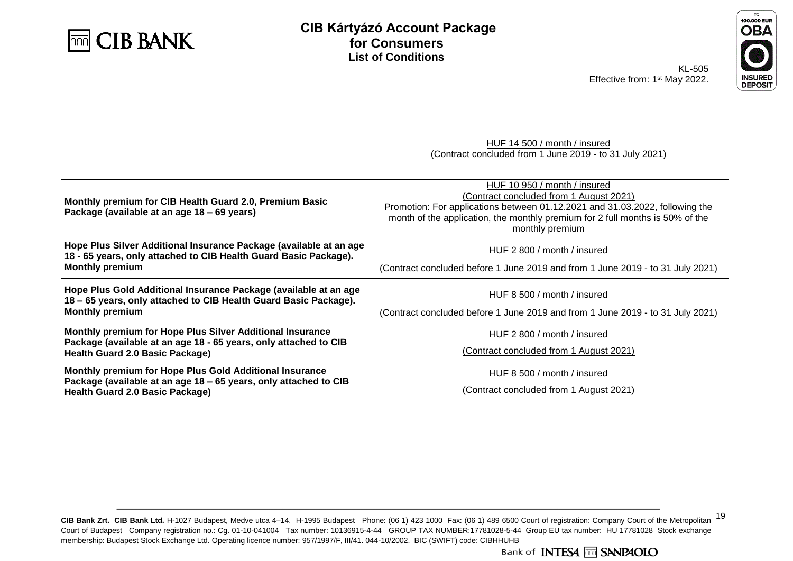



KL-505 Effective from: 1<sup>st</sup> May 2022.

|                                                                                                                                                                         | HUF 14 500 / month / insured<br>(Contract concluded from 1 June 2019 - to 31 July 2021)                                                                                                                                                                     |
|-------------------------------------------------------------------------------------------------------------------------------------------------------------------------|-------------------------------------------------------------------------------------------------------------------------------------------------------------------------------------------------------------------------------------------------------------|
| Monthly premium for CIB Health Guard 2.0, Premium Basic<br>Package (available at an age 18 – 69 years)                                                                  | HUF 10 950 / month / insured<br>(Contract concluded from 1 August 2021)<br>Promotion: For applications between 01.12.2021 and 31.03.2022, following the<br>month of the application, the monthly premium for 2 full months is 50% of the<br>monthly premium |
| Hope Plus Silver Additional Insurance Package (available at an age<br>18 - 65 years, only attached to CIB Health Guard Basic Package).<br><b>Monthly premium</b>        | HUF 2 800 / month / insured<br>(Contract concluded before 1 June 2019 and from 1 June 2019 - to 31 July 2021)                                                                                                                                               |
| Hope Plus Gold Additional Insurance Package (available at an age<br>18 - 65 years, only attached to CIB Health Guard Basic Package).<br><b>Monthly premium</b>          | HUF 8 500 / month / insured<br>(Contract concluded before 1 June 2019 and from 1 June 2019 - to 31 July 2021)                                                                                                                                               |
| Monthly premium for Hope Plus Silver Additional Insurance<br>Package (available at an age 18 - 65 years, only attached to CIB<br><b>Health Guard 2.0 Basic Package)</b> | HUF 2 800 / month / insured<br>(Contract concluded from 1 August 2021)                                                                                                                                                                                      |
| Monthly premium for Hope Plus Gold Additional Insurance<br>Package (available at an age 18 - 65 years, only attached to CIB<br>Health Guard 2.0 Basic Package)          | HUF 8 500 / month / insured<br>(Contract concluded from 1 August 2021)                                                                                                                                                                                      |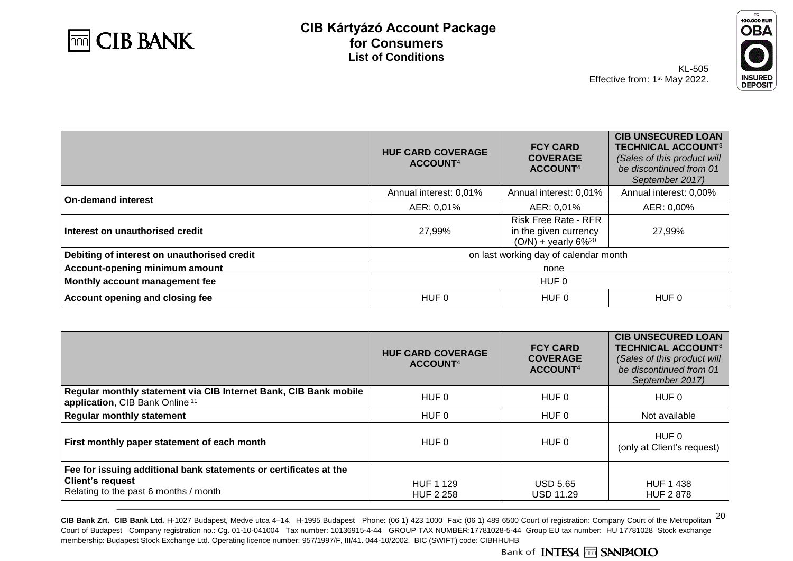



KL-505 Effective from: 1<sup>st</sup> May 2022.

|                                             | <b>HUF CARD COVERAGE</b><br>ACCOUNT <sup>4</sup> | <b>FCY CARD</b><br><b>COVERAGE</b><br>ACCOUNT <sup>4</sup>                                | <b>CIB UNSECURED LOAN</b><br><b>TECHNICAL ACCOUNT<sup>8</sup></b><br>(Sales of this product will<br>be discontinued from 01<br>September 2017) |
|---------------------------------------------|--------------------------------------------------|-------------------------------------------------------------------------------------------|------------------------------------------------------------------------------------------------------------------------------------------------|
| <b>On-demand interest</b>                   | Annual interest: 0,01%                           | Annual interest: 0,01%                                                                    | Annual interest: 0,00%                                                                                                                         |
|                                             | AER: 0,01%                                       | AER: 0,01%                                                                                | AER: 0,00%                                                                                                                                     |
| Interest on unauthorised credit             | 27,99%                                           | <b>Risk Free Rate - RFR</b><br>in the given currency<br>$(O/N)$ + yearly 6% <sup>20</sup> | 27,99%                                                                                                                                         |
| Debiting of interest on unauthorised credit | on last working day of calendar month            |                                                                                           |                                                                                                                                                |
| Account-opening minimum amount              | none                                             |                                                                                           |                                                                                                                                                |
| Monthly account management fee              | HUF <sub>0</sub>                                 |                                                                                           |                                                                                                                                                |
| Account opening and closing fee             | HUF 0<br>HUF 0                                   |                                                                                           | HUF 0                                                                                                                                          |

|                                                                                                                                       | <b>HUF CARD COVERAGE</b><br>ACCOUNT <sup>4</sup> | <b>FCY CARD</b><br><b>COVERAGE</b><br>ACCOUNT <sup>4</sup> | <b>CIB UNSECURED LOAN</b><br><b>TECHNICAL ACCOUNT<sup>8</sup></b><br>(Sales of this product will<br>be discontinued from 01<br>September 2017) |
|---------------------------------------------------------------------------------------------------------------------------------------|--------------------------------------------------|------------------------------------------------------------|------------------------------------------------------------------------------------------------------------------------------------------------|
| Regular monthly statement via CIB Internet Bank, CIB Bank mobile<br>application, CIB Bank Online <sup>11</sup>                        | HUF 0                                            | HUF 0                                                      | HUF 0                                                                                                                                          |
| <b>Regular monthly statement</b>                                                                                                      | HUF 0                                            | HUF 0                                                      | Not available                                                                                                                                  |
| First monthly paper statement of each month                                                                                           | HUF 0                                            | HUF 0                                                      | HUF 0<br>(only at Client's request)                                                                                                            |
| Fee for issuing additional bank statements or certificates at the<br><b>Client's request</b><br>Relating to the past 6 months / month | HUF 1 129<br><b>HUF 2 258</b>                    | <b>USD 5.65</b><br><b>USD 11.29</b>                        | <b>HUF 1438</b><br><b>HUF 2878</b>                                                                                                             |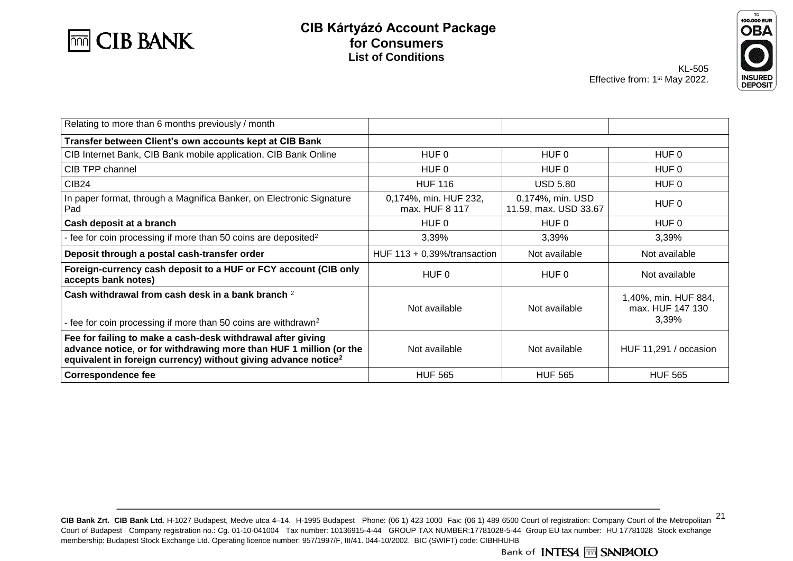



KL-505 Effective from: 1<sup>st</sup> May 2022.

| Relating to more than 6 months previously / month                                                                                                                                                               |                                         |                                           |                                                   |
|-----------------------------------------------------------------------------------------------------------------------------------------------------------------------------------------------------------------|-----------------------------------------|-------------------------------------------|---------------------------------------------------|
| Transfer between Client's own accounts kept at CIB Bank                                                                                                                                                         |                                         |                                           |                                                   |
| CIB Internet Bank, CIB Bank mobile application, CIB Bank Online                                                                                                                                                 | HUF 0                                   | HUF 0                                     | HUF 0                                             |
| CIB TPP channel                                                                                                                                                                                                 | HUF 0                                   | HUF 0                                     | HUF 0                                             |
| CIB <sub>24</sub>                                                                                                                                                                                               | <b>HUF 116</b>                          | <b>USD 5.80</b>                           | HUF 0                                             |
| In paper format, through a Magnifica Banker, on Electronic Signature<br>Pad                                                                                                                                     | 0,174%, min. HUF 232,<br>max. HUF 8 117 | 0,174%, min. USD<br>11.59, max. USD 33.67 | HUF 0                                             |
| Cash deposit at a branch                                                                                                                                                                                        | HUF 0                                   | HUF 0                                     | HUF 0                                             |
| - fee for coin processing if more than 50 coins are deposited <sup>2</sup>                                                                                                                                      | 3,39%                                   | 3,39%                                     | 3,39%                                             |
| Deposit through a postal cash-transfer order                                                                                                                                                                    | HUF $113 + 0,39\%$ /transaction         | Not available                             | Not available                                     |
| Foreign-currency cash deposit to a HUF or FCY account (CIB only<br>accepts bank notes)                                                                                                                          | HUF 0                                   | HUF 0                                     | Not available                                     |
| Cash withdrawal from cash desk in a bank branch <sup>2</sup><br>- fee for coin processing if more than 50 coins are withdrawn <sup>2</sup>                                                                      | Not available                           | Not available                             | 1,40%, min. HUF 884,<br>max. HUF 147 130<br>3,39% |
| Fee for failing to make a cash-desk withdrawal after giving<br>advance notice, or for withdrawing more than HUF 1 million (or the<br>equivalent in foreign currency) without giving advance notice <sup>2</sup> | Not available                           | Not available                             | HUF 11,291 / occasion                             |
| <b>Correspondence fee</b>                                                                                                                                                                                       | <b>HUF 565</b>                          | <b>HUF 565</b>                            | <b>HUF 565</b>                                    |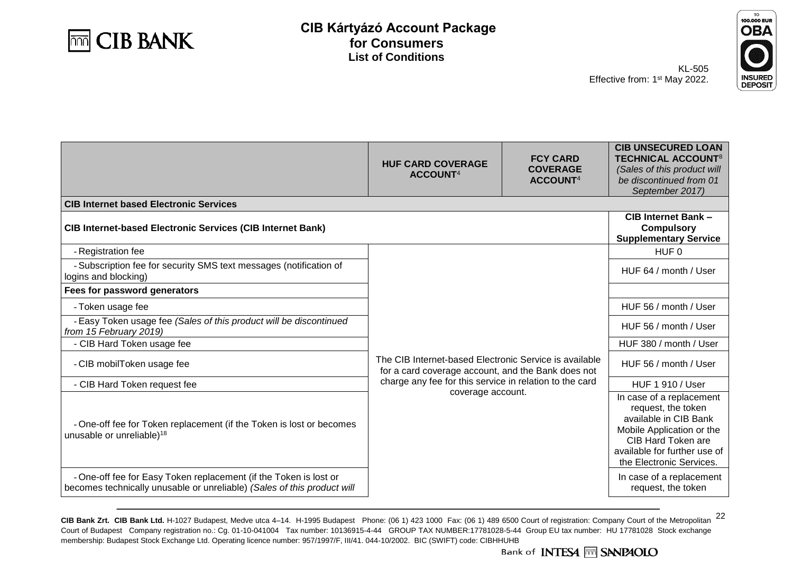



KL-505 Effective from: 1<sup>st</sup> May 2022.

| <b>INSURE</b>    |
|------------------|
|                  |
| <b>DEPC</b><br>s |

|                                                                                                                                              | <b>HUF CARD COVERAGE</b><br>ACCOUNT <sup>4</sup>                                                             | <b>FCY CARD</b><br><b>COVERAGE</b><br>ACCOUNT <sup>4</sup> | <b>CIB UNSECURED LOAN</b><br><b>TECHNICAL ACCOUNT<sup>8</sup></b><br>(Sales of this product will<br>be discontinued from 01<br>September 2017)                                         |
|----------------------------------------------------------------------------------------------------------------------------------------------|--------------------------------------------------------------------------------------------------------------|------------------------------------------------------------|----------------------------------------------------------------------------------------------------------------------------------------------------------------------------------------|
| <b>CIB Internet based Electronic Services</b>                                                                                                |                                                                                                              |                                                            |                                                                                                                                                                                        |
| <b>CIB Internet-based Electronic Services (CIB Internet Bank)</b>                                                                            | <b>CIB Internet Bank -</b><br><b>Compulsory</b><br><b>Supplementary Service</b>                              |                                                            |                                                                                                                                                                                        |
| - Registration fee                                                                                                                           |                                                                                                              |                                                            | HUF 0                                                                                                                                                                                  |
| - Subscription fee for security SMS text messages (notification of<br>logins and blocking)                                                   |                                                                                                              |                                                            | HUF 64 / month / User                                                                                                                                                                  |
| Fees for password generators                                                                                                                 |                                                                                                              |                                                            |                                                                                                                                                                                        |
| - Token usage fee                                                                                                                            | The CIB Internet-based Electronic Service is available<br>for a card coverage account, and the Bank does not |                                                            | HUF 56 / month / User                                                                                                                                                                  |
| - Easy Token usage fee (Sales of this product will be discontinued<br>from 15 February 2019)                                                 |                                                                                                              |                                                            | HUF 56 / month / User                                                                                                                                                                  |
| - CIB Hard Token usage fee                                                                                                                   |                                                                                                              |                                                            | HUF 380 / month / User                                                                                                                                                                 |
| - CIB mobilToken usage fee                                                                                                                   |                                                                                                              |                                                            | HUF 56 / month / User                                                                                                                                                                  |
| - CIB Hard Token request fee                                                                                                                 | charge any fee for this service in relation to the card                                                      |                                                            | <b>HUF 1 910 / User</b>                                                                                                                                                                |
| - One-off fee for Token replacement (if the Token is lost or becomes<br>unusable or unreliable) <sup>18</sup>                                | coverage account.                                                                                            |                                                            | In case of a replacement<br>request, the token<br>available in CIB Bank<br>Mobile Application or the<br>CIB Hard Token are<br>available for further use of<br>the Electronic Services. |
| - One-off fee for Easy Token replacement (if the Token is lost or<br>becomes technically unusable or unreliable) (Sales of this product will |                                                                                                              |                                                            | In case of a replacement<br>request, the token                                                                                                                                         |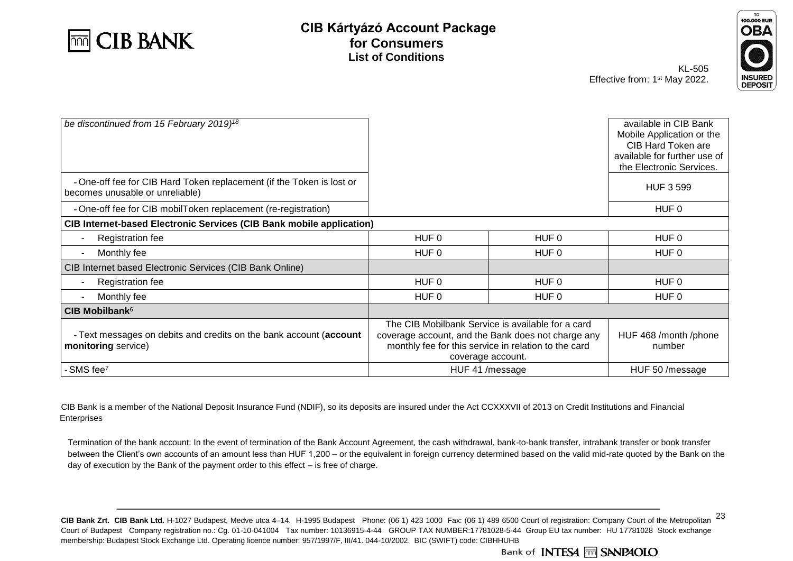



| be discontinued from 15 February 2019) <sup>18</sup>                                                     |                                                                                                                                                                                      |       | available in CIB Bank<br>Mobile Application or the<br>CIB Hard Token are<br>available for further use of<br>the Electronic Services. |
|----------------------------------------------------------------------------------------------------------|--------------------------------------------------------------------------------------------------------------------------------------------------------------------------------------|-------|--------------------------------------------------------------------------------------------------------------------------------------|
| - One-off fee for CIB Hard Token replacement (if the Token is lost or<br>becomes unusable or unreliable) |                                                                                                                                                                                      |       | <b>HUF 3 599</b>                                                                                                                     |
| - One-off fee for CIB mobilToken replacement (re-registration)                                           |                                                                                                                                                                                      |       | HUF 0                                                                                                                                |
| <b>CIB Internet-based Electronic Services (CIB Bank mobile application)</b>                              |                                                                                                                                                                                      |       |                                                                                                                                      |
| <b>Registration fee</b><br>$\overline{\phantom{a}}$                                                      | HUF 0                                                                                                                                                                                | HUF 0 | HUF 0                                                                                                                                |
| Monthly fee<br>$\overline{\phantom{a}}$                                                                  | HUF 0                                                                                                                                                                                | HUF 0 | HUF 0                                                                                                                                |
| CIB Internet based Electronic Services (CIB Bank Online)                                                 |                                                                                                                                                                                      |       |                                                                                                                                      |
| <b>Registration fee</b><br>$\overline{\phantom{a}}$                                                      | HUF 0                                                                                                                                                                                | HUF 0 | HUF 0                                                                                                                                |
| Monthly fee<br>$\overline{\phantom{a}}$                                                                  | HUF 0                                                                                                                                                                                | HUF 0 | HUF 0                                                                                                                                |
| CIB Mobilbank <sup>6</sup>                                                                               |                                                                                                                                                                                      |       |                                                                                                                                      |
| - Text messages on debits and credits on the bank account (account<br>monitoring service)                | The CIB Mobilbank Service is available for a card<br>coverage account, and the Bank does not charge any<br>monthly fee for this service in relation to the card<br>coverage account. |       | HUF 468 /month /phone<br>number                                                                                                      |
| SMS fee <sup>7</sup>                                                                                     | HUF 41 /message                                                                                                                                                                      |       | HUF 50 /message                                                                                                                      |

CIB Bank is a member of the National Deposit Insurance Fund (NDIF), so its deposits are insured under the Act CCXXXVII of 2013 on Credit Institutions and Financial Enterprises

Termination of the bank account: In the event of termination of the Bank Account Agreement, the cash withdrawal, bank-to-bank transfer, intrabank transfer or book transfer between the Client's own accounts of an amount less than HUF 1,200 – or the equivalent in foreign currency determined based on the valid mid-rate quoted by the Bank on the day of execution by the Bank of the payment order to this effect – is free of charge.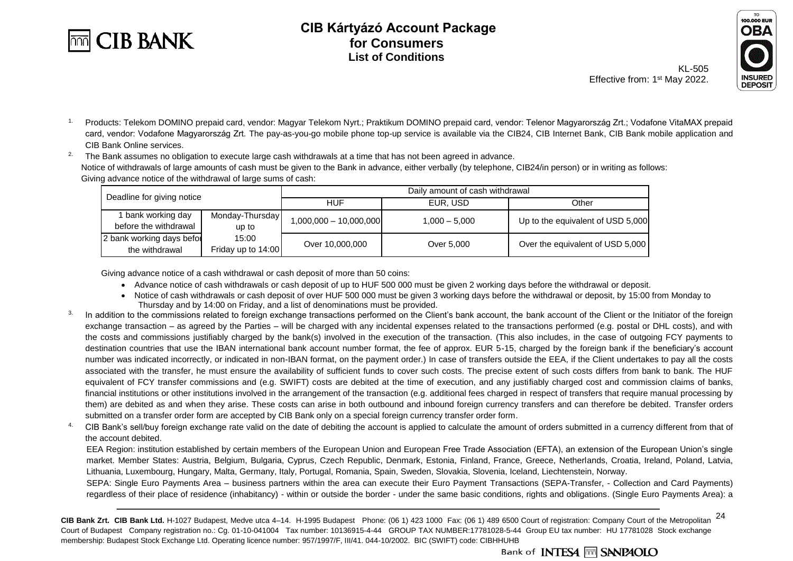



KL-505 Effective from: 1<sup>st</sup> May 2022. **DEPOSIT** 

<sup>1.</sup> Products: Telekom DOMINO prepaid card, vendor: Magyar Telekom Nyrt.; Praktikum DOMINO prepaid card, vendor: Telenor Magyarország Zrt.; Vodafone VitaMAX prepaid card, vendor: Vodafone Magyarország Zrt. The pay-as-you-go mobile phone top-up service is available via the CIB24, CIB Internet Bank, CIB Bank mobile application and CIB Bank Online services.

<sup>2.</sup> The Bank assumes no obligation to execute large cash withdrawals at a time that has not been agreed in advance. Notice of withdrawals of large amounts of cash must be given to the Bank in advance, either verbally (by telephone, CIB24/in person) or in writing as follows: Giving advance notice of the withdrawal of large sums of cash:

| Deadline for giving notice                  |                             | Daily amount of cash withdrawal |                 |                                   |
|---------------------------------------------|-----------------------------|---------------------------------|-----------------|-----------------------------------|
|                                             |                             | <b>HUF</b>                      | EUR. USD        | Other                             |
| bank working day<br>before the withdrawal   | Monday-Thursday<br>up to    | ,000,000 - 10,000,000,1         | $1.000 - 5.000$ | Up to the equivalent of USD 5,000 |
| 2 bank working days befor<br>the withdrawal | 15:00<br>Friday up to 14:00 | Over 10,000,000                 | Over 5.000      | Over the equivalent of USD 5,000  |

Giving advance notice of a cash withdrawal or cash deposit of more than 50 coins:

- Advance notice of cash withdrawals or cash deposit of up to HUF 500 000 must be given 2 working days before the withdrawal or deposit.
- Notice of cash withdrawals or cash deposit of over HUF 500 000 must be given 3 working days before the withdrawal or deposit, by 15:00 from Monday to Thursday and by 14:00 on Friday, and a list of denominations must be provided.
- <sup>3.</sup> In addition to the commissions related to foreign exchange transactions performed on the Client's bank account, the bank account of the Client or the Initiator of the foreign exchange transaction – as agreed by the Parties – will be charged with any incidental expenses related to the transactions performed (e.g. postal or DHL costs), and with the costs and commissions justifiably charged by the bank(s) involved in the execution of the transaction. (This also includes, in the case of outgoing FCY payments to destination countries that use the IBAN international bank account number format, the fee of approx. EUR 5-15, charged by the foreign bank if the beneficiary's account number was indicated incorrectly, or indicated in non-IBAN format, on the payment order.) In case of transfers outside the EEA, if the Client undertakes to pay all the costs associated with the transfer, he must ensure the availability of sufficient funds to cover such costs. The precise extent of such costs differs from bank to bank. The HUF equivalent of FCY transfer commissions and (e.g. SWIFT) costs are debited at the time of execution, and any justifiably charged cost and commission claims of banks, financial institutions or other institutions involved in the arrangement of the transaction (e.g. additional fees charged in respect of transfers that require manual processing by them) are debited as and when they arise. These costs can arise in both outbound and inbound foreign currency transfers and can therefore be debited. Transfer orders submitted on a transfer order form are accepted by CIB Bank only on a special foreign currency transfer order form.
- <sup>4</sup> CIB Bank's sell/buy foreign exchange rate valid on the date of debiting the account is applied to calculate the amount of orders submitted in a currency different from that of the account debited.

EEA Region: institution established by certain members of the European Union and European Free Trade Association (EFTA), an extension of the European Union's single market. Member States: Austria, Belgium, Bulgaria, Cyprus, Czech Republic, Denmark, Estonia, Finland, France, Greece, Netherlands, Croatia, Ireland, Poland, Latvia, Lithuania, Luxembourg, Hungary, Malta, Germany, Italy, Portugal, Romania, Spain, Sweden, Slovakia, Slovenia, Iceland, Liechtenstein, Norway.

SEPA: Single Euro Payments Area – business partners within the area can execute their Euro Payment Transactions (SEPA-Transfer, - Collection and Card Payments) regardless of their place of residence (inhabitancy) - within or outside the border - under the same basic conditions, rights and obligations. (Single Euro Payments Area): a

<sup>24</sup> **CIB Bank Zrt. CIB Bank Ltd.** H-1027 Budapest, Medve utca 4–14. H-1995 Budapest Phone: (06 1) 423 1000 Fax: (06 1) 489 6500 Court of registration: Company Court of the Metropolitan Court of Budapest Company registration no.: Cg. 01-10-041004 Tax number: 10136915-4-44 GROUP TAX NUMBER:17781028-5-44 Group EU tax number: HU 17781028 Stock exchange membership: Budapest Stock Exchange Ltd. Operating licence number: 957/1997/F, III/41. 044-10/2002. BIC (SWIFT) code: CIBHHUHB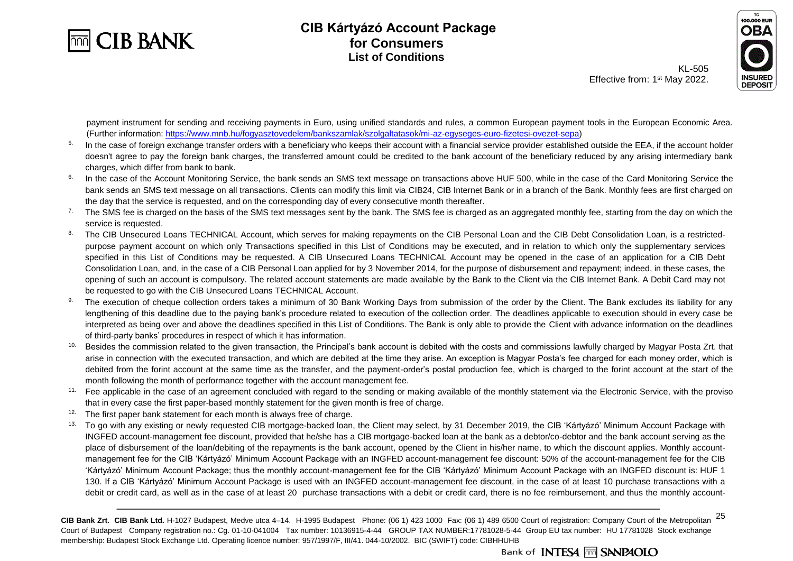



KL-505 Effective from: 1<sup>st</sup> May 2022.

payment instrument for sending and receiving payments in Euro, using unified standards and rules, a common European payment tools in the European Economic Area. (Further information: [https://www.mnb.hu/fogyasztovedelem/bankszamlak/szolgaltatasok/mi-az-egyseges-euro-fizetesi-ovezet-sepa\)](https://www.mnb.hu/fogyasztovedelem/bankszamlak/szolgaltatasok/mi-az-egyseges-euro-fizetesi-ovezet-sepa)

- <sup>5.</sup> In the case of foreign exchange transfer orders with a beneficiary who keeps their account with a financial service provider established outside the EEA, if the account holder doesn't agree to pay the foreign bank charges, the transferred amount could be credited to the bank account of the beneficiary reduced by any arising intermediary bank charges, which differ from bank to bank.
- <sup>6.</sup> In the case of the Account Monitoring Service, the bank sends an SMS text message on transactions above HUF 500, while in the case of the Card Monitoring Service the bank sends an SMS text message on all transactions. Clients can modify this limit via CIB24, CIB Internet Bank or in a branch of the Bank. Monthly fees are first charged on the day that the service is requested, and on the corresponding day of every consecutive month thereafter.
- <sup>7.</sup> The SMS fee is charged on the basis of the SMS text messages sent by the bank. The SMS fee is charged as an aggregated monthly fee, starting from the day on which the service is requested.
- 8. The CIB Unsecured Loans TECHNICAL Account, which serves for making repayments on the CIB Personal Loan and the CIB Debt Consolidation Loan, is a restrictedpurpose payment account on which only Transactions specified in this List of Conditions may be executed, and in relation to which only the supplementary services specified in this List of Conditions may be requested. A CIB Unsecured Loans TECHNICAL Account may be opened in the case of an application for a CIB Debt Consolidation Loan, and, in the case of a CIB Personal Loan applied for by 3 November 2014, for the purpose of disbursement and repayment; indeed, in these cases, the opening of such an account is compulsory. The related account statements are made available by the Bank to the Client via the CIB Internet Bank. A Debit Card may not be requested to go with the CIB Unsecured Loans TECHNICAL Account.
- 9. The execution of cheque collection orders takes a minimum of 30 Bank Working Days from submission of the order by the Client. The Bank excludes its liability for any lengthening of this deadline due to the paying bank's procedure related to execution of the collection order. The deadlines applicable to execution should in every case be interpreted as being over and above the deadlines specified in this List of Conditions. The Bank is only able to provide the Client with advance information on the deadlines of third-party banks' procedures in respect of which it has information.
- <sup>10.</sup> Besides the commission related to the given transaction, the Principal's bank account is debited with the costs and commissions lawfully charged by Magyar Posta Zrt. that arise in connection with the executed transaction, and which are debited at the time they arise. An exception is Magyar Posta's fee charged for each money order, which is debited from the forint account at the same time as the transfer, and the payment-order's postal production fee, which is charged to the forint account at the start of the month following the month of performance together with the account management fee.
- <sup>11.</sup> Fee applicable in the case of an agreement concluded with regard to the sending or making available of the monthly statement via the Electronic Service, with the proviso that in every case the first paper-based monthly statement for the given month is free of charge.
- <sup>12.</sup> The first paper bank statement for each month is always free of charge.
- <sup>13.</sup> To go with any existing or newly requested CIB mortgage-backed loan, the Client may select, by 31 December 2019, the CIB 'Kártyázó' Minimum Account Package with INGFED account-management fee discount, provided that he/she has a CIB mortgage-backed loan at the bank as a debtor/co-debtor and the bank account serving as the place of disbursement of the loan/debiting of the repayments is the bank account, opened by the Client in his/her name, to which the discount applies. Monthly accountmanagement fee for the CIB 'Kártyázó' Minimum Account Package with an INGFED account-management fee discount: 50% of the account-management fee for the CIB 'Kártyázó' Minimum Account Package; thus the monthly account-management fee for the CIB 'Kártyázó' Minimum Account Package with an INGFED discount is: HUF 1 130. If a CIB 'Kártyázó' Minimum Account Package is used with an INGFED account-management fee discount, in the case of at least 10 purchase transactions with a debit or credit card, as well as in the case of at least 20 purchase transactions with a debit or credit card, there is no fee reimbursement, and thus the monthly account-